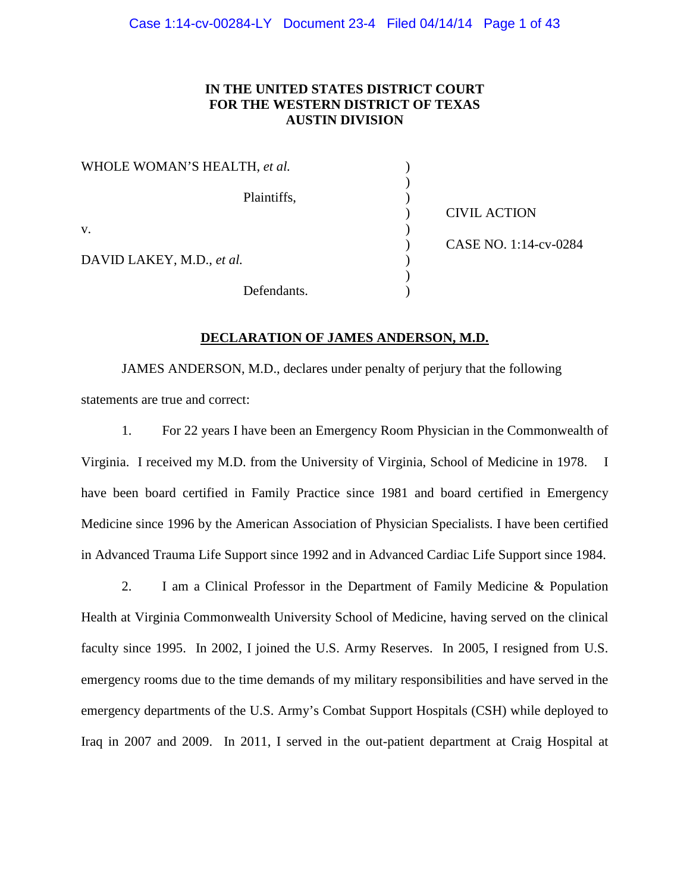## **IN THE UNITED STATES DISTRICT COURT FOR THE WESTERN DISTRICT OF TEXAS AUSTIN DIVISION**

| WHOLE WOMAN'S HEALTH, et al. |                       |
|------------------------------|-----------------------|
|                              |                       |
| Plaintiffs,                  |                       |
|                              | <b>CIVIL ACTION</b>   |
| V.                           |                       |
|                              | CASE NO. 1:14-cv-0284 |
| DAVID LAKEY, M.D., et al.    |                       |
|                              |                       |
| Defendants.                  |                       |

#### **DECLARATION OF JAMES ANDERSON, M.D.**

JAMES ANDERSON, M.D., declares under penalty of perjury that the following statements are true and correct:

1. For 22 years I have been an Emergency Room Physician in the Commonwealth of Virginia. I received my M.D. from the University of Virginia, School of Medicine in 1978. I have been board certified in Family Practice since 1981 and board certified in Emergency Medicine since 1996 by the American Association of Physician Specialists. I have been certified in Advanced Trauma Life Support since 1992 and in Advanced Cardiac Life Support since 1984.

2. I am a Clinical Professor in the Department of Family Medicine & Population Health at Virginia Commonwealth University School of Medicine, having served on the clinical faculty since 1995. In 2002, I joined the U.S. Army Reserves. In 2005, I resigned from U.S. emergency rooms due to the time demands of my military responsibilities and have served in the emergency departments of the U.S. Army's Combat Support Hospitals (CSH) while deployed to Iraq in 2007 and 2009. In 2011, I served in the out-patient department at Craig Hospital at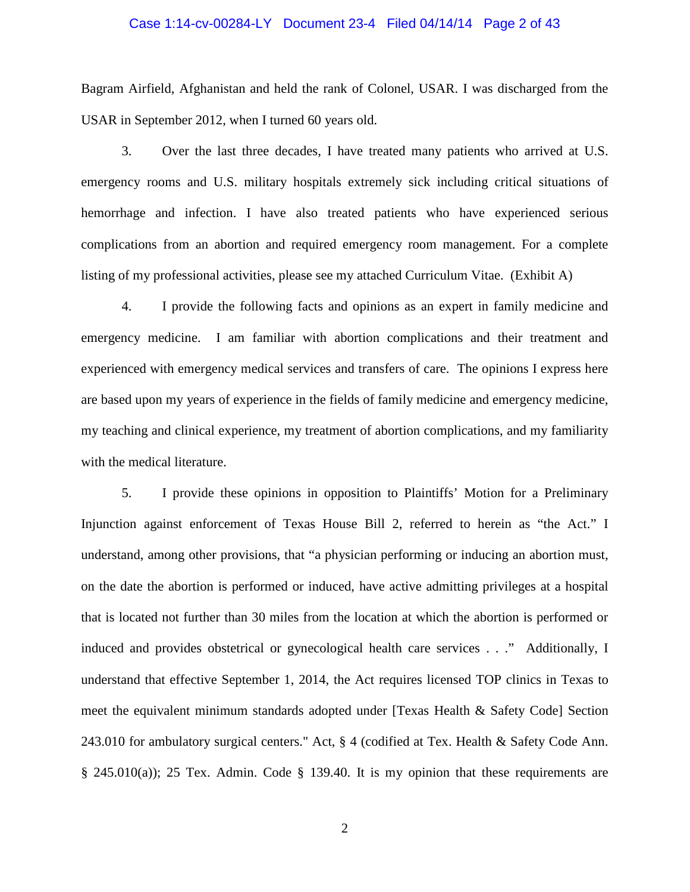#### Case 1:14-cv-00284-LY Document 23-4 Filed 04/14/14 Page 2 of 43

Bagram Airfield, Afghanistan and held the rank of Colonel, USAR. I was discharged from the USAR in September 2012, when I turned 60 years old.

3. Over the last three decades, I have treated many patients who arrived at U.S. emergency rooms and U.S. military hospitals extremely sick including critical situations of hemorrhage and infection. I have also treated patients who have experienced serious complications from an abortion and required emergency room management. For a complete listing of my professional activities, please see my attached Curriculum Vitae. (Exhibit A)

4. I provide the following facts and opinions as an expert in family medicine and emergency medicine. I am familiar with abortion complications and their treatment and experienced with emergency medical services and transfers of care. The opinions I express here are based upon my years of experience in the fields of family medicine and emergency medicine, my teaching and clinical experience, my treatment of abortion complications, and my familiarity with the medical literature.

5. I provide these opinions in opposition to Plaintiffs' Motion for a Preliminary Injunction against enforcement of Texas House Bill 2, referred to herein as "the Act." I understand, among other provisions, that "a physician performing or inducing an abortion must, on the date the abortion is performed or induced, have active admitting privileges at a hospital that is located not further than 30 miles from the location at which the abortion is performed or induced and provides obstetrical or gynecological health care services . . ." Additionally, I understand that effective September 1, 2014, the Act requires licensed TOP clinics in Texas to meet the equivalent minimum standards adopted under [Texas Health & Safety Code] Section 243.010 for ambulatory surgical centers." Act, § 4 (codified at Tex. Health & Safety Code Ann.  $§$  245.010(a)); 25 Tex. Admin. Code  $§$  139.40. It is my opinion that these requirements are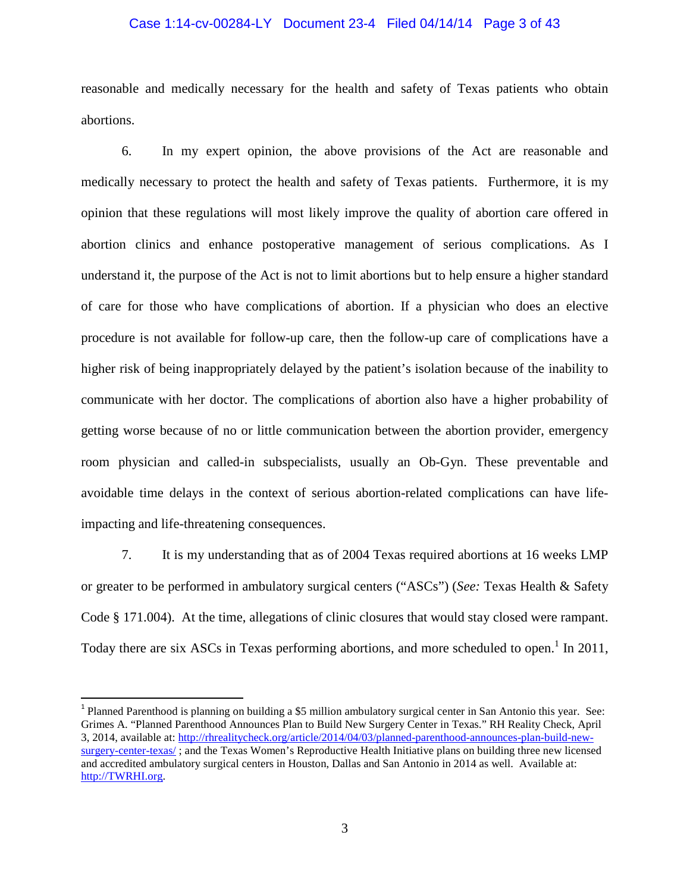#### Case 1:14-cv-00284-LY Document 23-4 Filed 04/14/14 Page 3 of 43

reasonable and medically necessary for the health and safety of Texas patients who obtain abortions.

6. In my expert opinion, the above provisions of the Act are reasonable and medically necessary to protect the health and safety of Texas patients. Furthermore, it is my opinion that these regulations will most likely improve the quality of abortion care offered in abortion clinics and enhance postoperative management of serious complications. As I understand it, the purpose of the Act is not to limit abortions but to help ensure a higher standard of care for those who have complications of abortion. If a physician who does an elective procedure is not available for follow-up care, then the follow-up care of complications have a higher risk of being inappropriately delayed by the patient's isolation because of the inability to communicate with her doctor. The complications of abortion also have a higher probability of getting worse because of no or little communication between the abortion provider, emergency room physician and called-in subspecialists, usually an Ob-Gyn. These preventable and avoidable time delays in the context of serious abortion-related complications can have lifeimpacting and life-threatening consequences.

7. It is my understanding that as of 2004 Texas required abortions at 16 weeks LMP or greater to be performed in ambulatory surgical centers ("ASCs") (*See:* Texas Health & Safety Code § 171.004). At the time, allegations of clinic closures that would stay closed were rampant. Today there are six ASCs in Texas performing abortions, and more scheduled to open.<sup>1</sup> In 2011,

<sup>&</sup>lt;sup>1</sup> Planned Parenthood is planning on building a \$5 million ambulatory surgical center in San Antonio this year. See: Grimes A. "Planned Parenthood Announces Plan to Build New Surgery Center in Texas." RH Reality Check, April 3, 2014, available at: http://rhrealitycheck.org/article/2014/04/03/planned-parenthood-announces-plan-build-newsurgery-center-texas/ ; and the Texas Women's Reproductive Health Initiative plans on building three new licensed and accredited ambulatory surgical centers in Houston, Dallas and San Antonio in 2014 as well. Available at: http://TWRHI.org.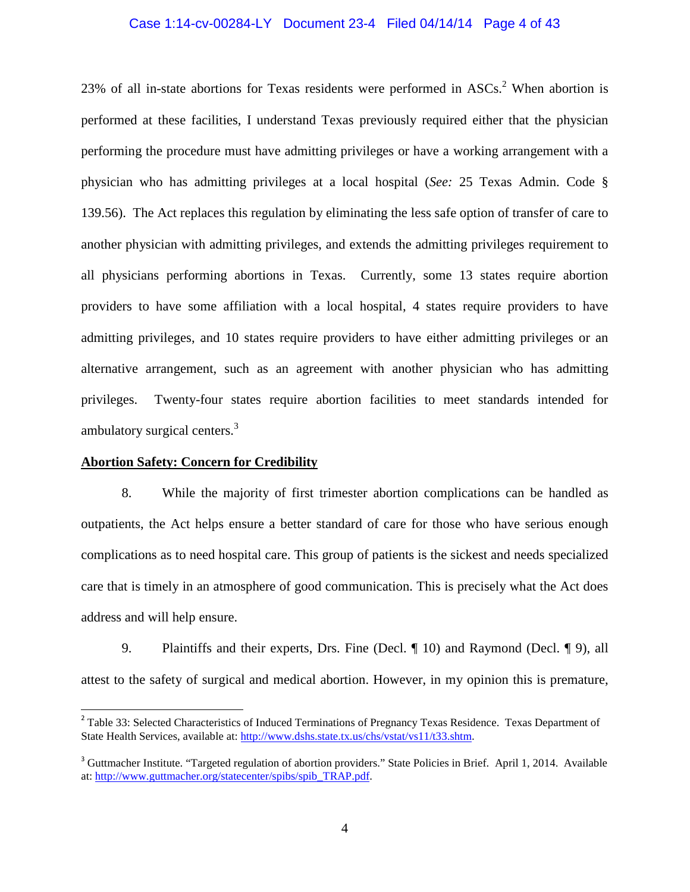#### Case 1:14-cv-00284-LY Document 23-4 Filed 04/14/14 Page 4 of 43

23% of all in-state abortions for Texas residents were performed in  $ASCs<sup>2</sup>$ . When abortion is performed at these facilities, I understand Texas previously required either that the physician performing the procedure must have admitting privileges or have a working arrangement with a physician who has admitting privileges at a local hospital (*See:* 25 Texas Admin. Code § 139.56). The Act replaces this regulation by eliminating the less safe option of transfer of care to another physician with admitting privileges, and extends the admitting privileges requirement to all physicians performing abortions in Texas. Currently, some 13 states require abortion providers to have some affiliation with a local hospital, 4 states require providers to have admitting privileges, and 10 states require providers to have either admitting privileges or an alternative arrangement, such as an agreement with another physician who has admitting privileges. Twenty-four states require abortion facilities to meet standards intended for ambulatory surgical centers.<sup>3</sup>

#### **Abortion Safety: Concern for Credibility**

 $\overline{a}$ 

8. While the majority of first trimester abortion complications can be handled as outpatients, the Act helps ensure a better standard of care for those who have serious enough complications as to need hospital care. This group of patients is the sickest and needs specialized care that is timely in an atmosphere of good communication. This is precisely what the Act does address and will help ensure.

9. Plaintiffs and their experts, Drs. Fine (Decl. ¶ 10) and Raymond (Decl. ¶ 9), all attest to the safety of surgical and medical abortion. However, in my opinion this is premature,

<sup>&</sup>lt;sup>2</sup> Table 33: Selected Characteristics of Induced Terminations of Pregnancy Texas Residence. Texas Department of State Health Services, available at: http://www.dshs.state.tx.us/chs/vstat/vs11/t33.shtm.

<sup>&</sup>lt;sup>3</sup> Guttmacher Institute. "Targeted regulation of abortion providers." State Policies in Brief. April 1, 2014. Available at: http://www.guttmacher.org/statecenter/spibs/spib\_TRAP.pdf.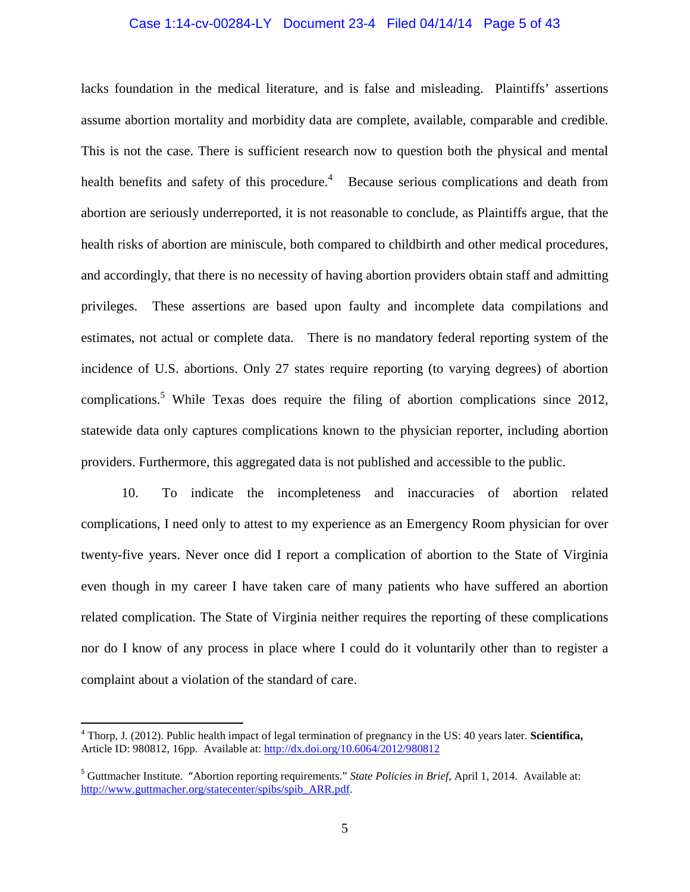#### Case 1:14-cv-00284-LY Document 23-4 Filed 04/14/14 Page 5 of 43

lacks foundation in the medical literature, and is false and misleading. Plaintiffs' assertions assume abortion mortality and morbidity data are complete, available, comparable and credible. This is not the case. There is sufficient research now to question both the physical and mental health benefits and safety of this procedure.<sup>4</sup> Because serious complications and death from abortion are seriously underreported, it is not reasonable to conclude, as Plaintiffs argue, that the health risks of abortion are miniscule, both compared to childbirth and other medical procedures, and accordingly, that there is no necessity of having abortion providers obtain staff and admitting privileges. These assertions are based upon faulty and incomplete data compilations and estimates, not actual or complete data. There is no mandatory federal reporting system of the incidence of U.S. abortions. Only 27 states require reporting (to varying degrees) of abortion complications.<sup>5</sup> While Texas does require the filing of abortion complications since 2012, statewide data only captures complications known to the physician reporter, including abortion providers. Furthermore, this aggregated data is not published and accessible to the public.

10. To indicate the incompleteness and inaccuracies of abortion related complications, I need only to attest to my experience as an Emergency Room physician for over twenty-five years. Never once did I report a complication of abortion to the State of Virginia even though in my career I have taken care of many patients who have suffered an abortion related complication. The State of Virginia neither requires the reporting of these complications nor do I know of any process in place where I could do it voluntarily other than to register a complaint about a violation of the standard of care.

<sup>4</sup> Thorp, J. (2012). Public health impact of legal termination of pregnancy in the US: 40 years later. **Scientifica,**  Article ID: 980812, 16pp. Available at: http://dx.doi.org/10.6064/2012/980812

<sup>5</sup> Guttmacher Institute. "Abortion reporting requirements." *State Policies in Brief*, April 1, 2014. Available at: http://www.guttmacher.org/statecenter/spibs/spib\_ARR.pdf.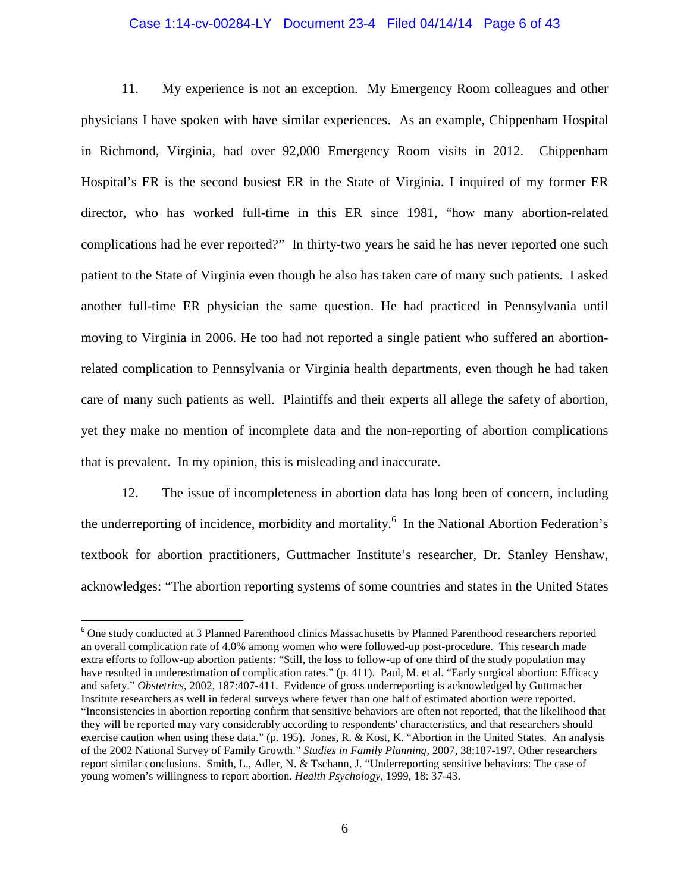#### Case 1:14-cv-00284-LY Document 23-4 Filed 04/14/14 Page 6 of 43

11. My experience is not an exception. My Emergency Room colleagues and other physicians I have spoken with have similar experiences. As an example, Chippenham Hospital in Richmond, Virginia, had over 92,000 Emergency Room visits in 2012. Chippenham Hospital's ER is the second busiest ER in the State of Virginia. I inquired of my former ER director, who has worked full-time in this ER since 1981, "how many abortion-related complications had he ever reported?" In thirty-two years he said he has never reported one such patient to the State of Virginia even though he also has taken care of many such patients. I asked another full-time ER physician the same question. He had practiced in Pennsylvania until moving to Virginia in 2006. He too had not reported a single patient who suffered an abortionrelated complication to Pennsylvania or Virginia health departments, even though he had taken care of many such patients as well. Plaintiffs and their experts all allege the safety of abortion, yet they make no mention of incomplete data and the non-reporting of abortion complications that is prevalent. In my opinion, this is misleading and inaccurate.

12. The issue of incompleteness in abortion data has long been of concern, including the underreporting of incidence, morbidity and mortality.<sup>6</sup> In the National Abortion Federation's textbook for abortion practitioners, Guttmacher Institute's researcher, Dr. Stanley Henshaw, acknowledges: "The abortion reporting systems of some countries and states in the United States

<sup>6</sup> One study conducted at 3 Planned Parenthood clinics Massachusetts by Planned Parenthood researchers reported an overall complication rate of 4.0% among women who were followed-up post-procedure. This research made extra efforts to follow-up abortion patients: "Still, the loss to follow-up of one third of the study population may have resulted in underestimation of complication rates." (p. 411). Paul, M. et al. "Early surgical abortion: Efficacy and safety." *Obstetrics*, 2002, 187:407-411. Evidence of gross underreporting is acknowledged by Guttmacher Institute researchers as well in federal surveys where fewer than one half of estimated abortion were reported. "Inconsistencies in abortion reporting confirm that sensitive behaviors are often not reported, that the likelihood that they will be reported may vary considerably according to respondents' characteristics, and that researchers should exercise caution when using these data." (p. 195). Jones, R. & Kost, K. "Abortion in the United States. An analysis of the 2002 National Survey of Family Growth." *Studies in Family Planning,* 2007, 38:187-197. Other researchers report similar conclusions. Smith, L., Adler, N. & Tschann, J. "Underreporting sensitive behaviors: The case of young women's willingness to report abortion. *Health Psychology*, 1999, 18: 37-43.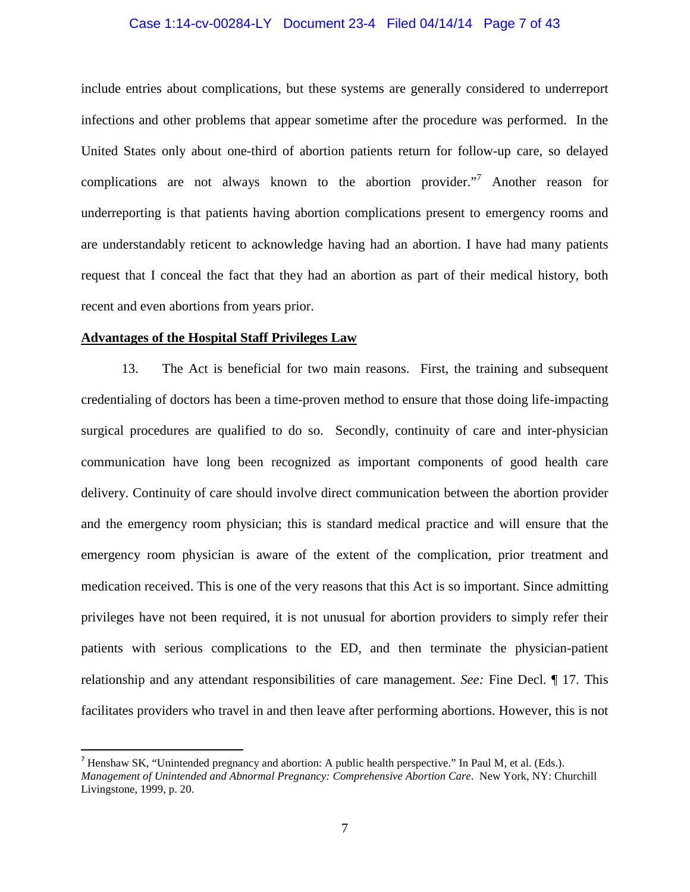#### Case 1:14-cv-00284-LY Document 23-4 Filed 04/14/14 Page 7 of 43

include entries about complications, but these systems are generally considered to underreport infections and other problems that appear sometime after the procedure was performed. In the United States only about one-third of abortion patients return for follow-up care, so delayed complications are not always known to the abortion provider."<sup>7</sup> Another reason for underreporting is that patients having abortion complications present to emergency rooms and are understandably reticent to acknowledge having had an abortion. I have had many patients request that I conceal the fact that they had an abortion as part of their medical history, both recent and even abortions from years prior.

#### **Advantages of the Hospital Staff Privileges Law**

 $\overline{a}$ 

13. The Act is beneficial for two main reasons. First, the training and subsequent credentialing of doctors has been a time-proven method to ensure that those doing life-impacting surgical procedures are qualified to do so. Secondly, continuity of care and inter-physician communication have long been recognized as important components of good health care delivery. Continuity of care should involve direct communication between the abortion provider and the emergency room physician; this is standard medical practice and will ensure that the emergency room physician is aware of the extent of the complication, prior treatment and medication received. This is one of the very reasons that this Act is so important. Since admitting privileges have not been required, it is not unusual for abortion providers to simply refer their patients with serious complications to the ED, and then terminate the physician-patient relationship and any attendant responsibilities of care management. *See:* Fine Decl. ¶ 17. This facilitates providers who travel in and then leave after performing abortions. However, this is not

<sup>&</sup>lt;sup>7</sup> Henshaw SK, "Unintended pregnancy and abortion: A public health perspective." In Paul M, et al. (Eds.). *Management of Unintended and Abnormal Pregnancy: Comprehensive Abortion Care*. New York, NY: Churchill Livingstone, 1999, p. 20.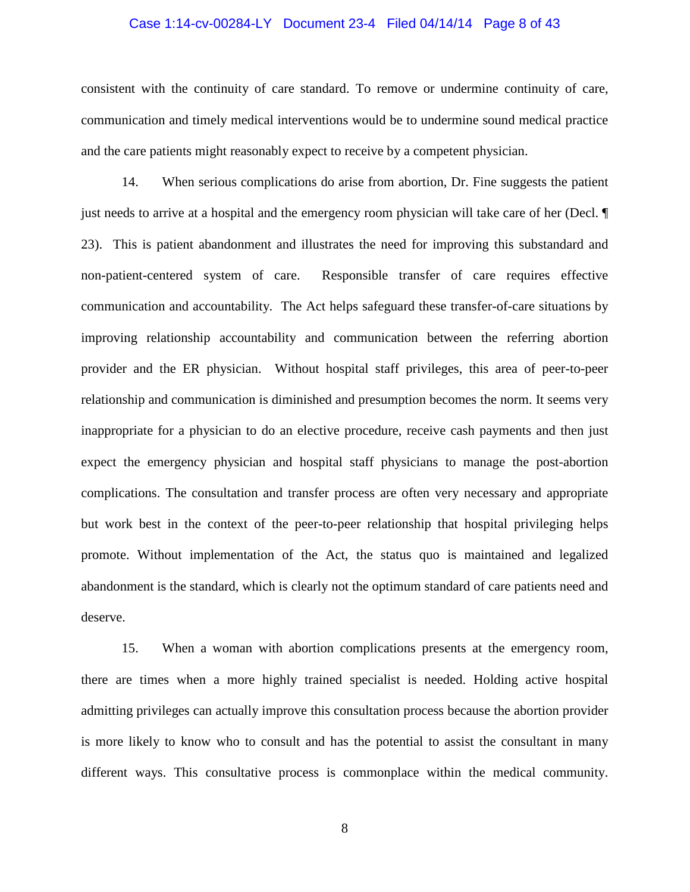#### Case 1:14-cv-00284-LY Document 23-4 Filed 04/14/14 Page 8 of 43

consistent with the continuity of care standard. To remove or undermine continuity of care, communication and timely medical interventions would be to undermine sound medical practice and the care patients might reasonably expect to receive by a competent physician.

14. When serious complications do arise from abortion, Dr. Fine suggests the patient just needs to arrive at a hospital and the emergency room physician will take care of her (Decl. ¶ 23). This is patient abandonment and illustrates the need for improving this substandard and non-patient-centered system of care. Responsible transfer of care requires effective communication and accountability. The Act helps safeguard these transfer-of-care situations by improving relationship accountability and communication between the referring abortion provider and the ER physician. Without hospital staff privileges, this area of peer-to-peer relationship and communication is diminished and presumption becomes the norm. It seems very inappropriate for a physician to do an elective procedure, receive cash payments and then just expect the emergency physician and hospital staff physicians to manage the post-abortion complications. The consultation and transfer process are often very necessary and appropriate but work best in the context of the peer-to-peer relationship that hospital privileging helps promote. Without implementation of the Act, the status quo is maintained and legalized abandonment is the standard, which is clearly not the optimum standard of care patients need and deserve.

15. When a woman with abortion complications presents at the emergency room, there are times when a more highly trained specialist is needed. Holding active hospital admitting privileges can actually improve this consultation process because the abortion provider is more likely to know who to consult and has the potential to assist the consultant in many different ways. This consultative process is commonplace within the medical community.

8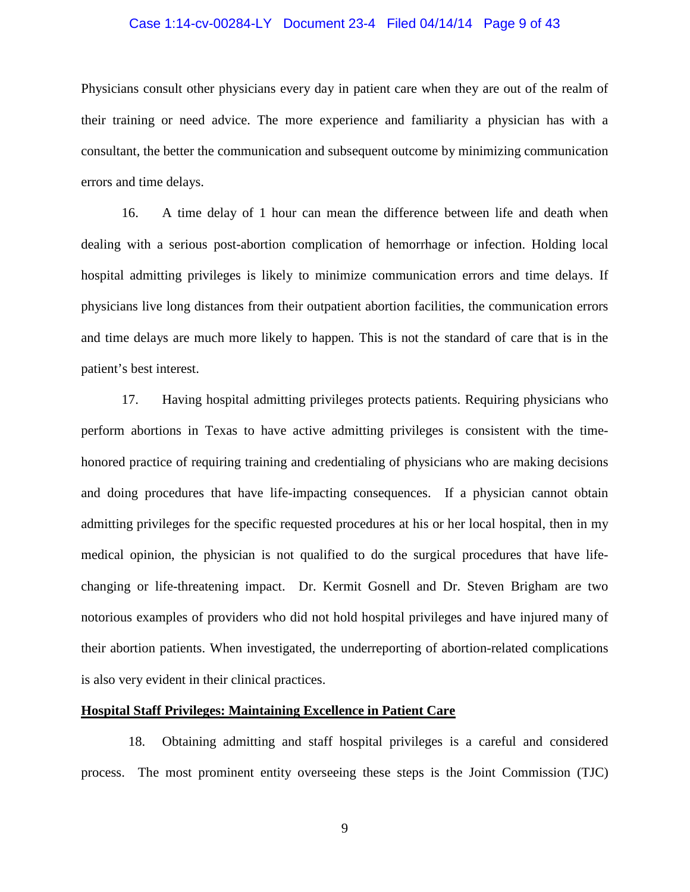#### Case 1:14-cv-00284-LY Document 23-4 Filed 04/14/14 Page 9 of 43

Physicians consult other physicians every day in patient care when they are out of the realm of their training or need advice. The more experience and familiarity a physician has with a consultant, the better the communication and subsequent outcome by minimizing communication errors and time delays.

16. A time delay of 1 hour can mean the difference between life and death when dealing with a serious post-abortion complication of hemorrhage or infection. Holding local hospital admitting privileges is likely to minimize communication errors and time delays. If physicians live long distances from their outpatient abortion facilities, the communication errors and time delays are much more likely to happen. This is not the standard of care that is in the patient's best interest.

17. Having hospital admitting privileges protects patients. Requiring physicians who perform abortions in Texas to have active admitting privileges is consistent with the timehonored practice of requiring training and credentialing of physicians who are making decisions and doing procedures that have life-impacting consequences. If a physician cannot obtain admitting privileges for the specific requested procedures at his or her local hospital, then in my medical opinion, the physician is not qualified to do the surgical procedures that have lifechanging or life-threatening impact. Dr. Kermit Gosnell and Dr. Steven Brigham are two notorious examples of providers who did not hold hospital privileges and have injured many of their abortion patients. When investigated, the underreporting of abortion-related complications is also very evident in their clinical practices.

#### **Hospital Staff Privileges: Maintaining Excellence in Patient Care**

 18. Obtaining admitting and staff hospital privileges is a careful and considered process. The most prominent entity overseeing these steps is the Joint Commission (TJC)

9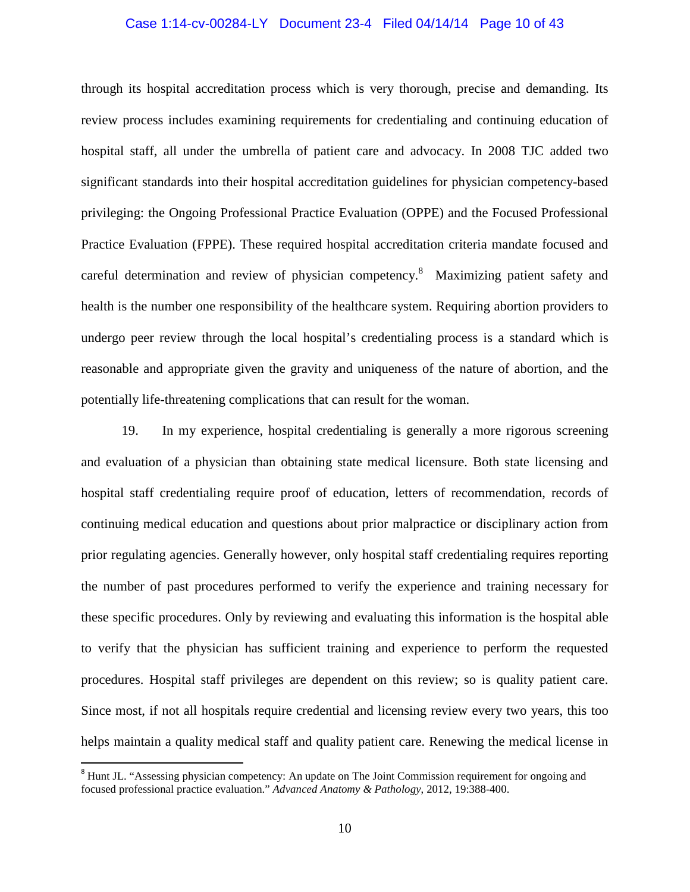#### Case 1:14-cv-00284-LY Document 23-4 Filed 04/14/14 Page 10 of 43

through its hospital accreditation process which is very thorough, precise and demanding. Its review process includes examining requirements for credentialing and continuing education of hospital staff, all under the umbrella of patient care and advocacy. In 2008 TJC added two significant standards into their hospital accreditation guidelines for physician competency-based privileging: the Ongoing Professional Practice Evaluation (OPPE) and the Focused Professional Practice Evaluation (FPPE). These required hospital accreditation criteria mandate focused and careful determination and review of physician competency.<sup>8</sup> Maximizing patient safety and health is the number one responsibility of the healthcare system. Requiring abortion providers to undergo peer review through the local hospital's credentialing process is a standard which is reasonable and appropriate given the gravity and uniqueness of the nature of abortion, and the potentially life-threatening complications that can result for the woman.

19. In my experience, hospital credentialing is generally a more rigorous screening and evaluation of a physician than obtaining state medical licensure. Both state licensing and hospital staff credentialing require proof of education, letters of recommendation, records of continuing medical education and questions about prior malpractice or disciplinary action from prior regulating agencies. Generally however, only hospital staff credentialing requires reporting the number of past procedures performed to verify the experience and training necessary for these specific procedures. Only by reviewing and evaluating this information is the hospital able to verify that the physician has sufficient training and experience to perform the requested procedures. Hospital staff privileges are dependent on this review; so is quality patient care. Since most, if not all hospitals require credential and licensing review every two years, this too helps maintain a quality medical staff and quality patient care. Renewing the medical license in

<sup>&</sup>lt;sup>8</sup> Hunt JL. "Assessing physician competency: An update on The Joint Commission requirement for ongoing and focused professional practice evaluation." *Advanced Anatomy & Pathology*, 2012, 19:388-400.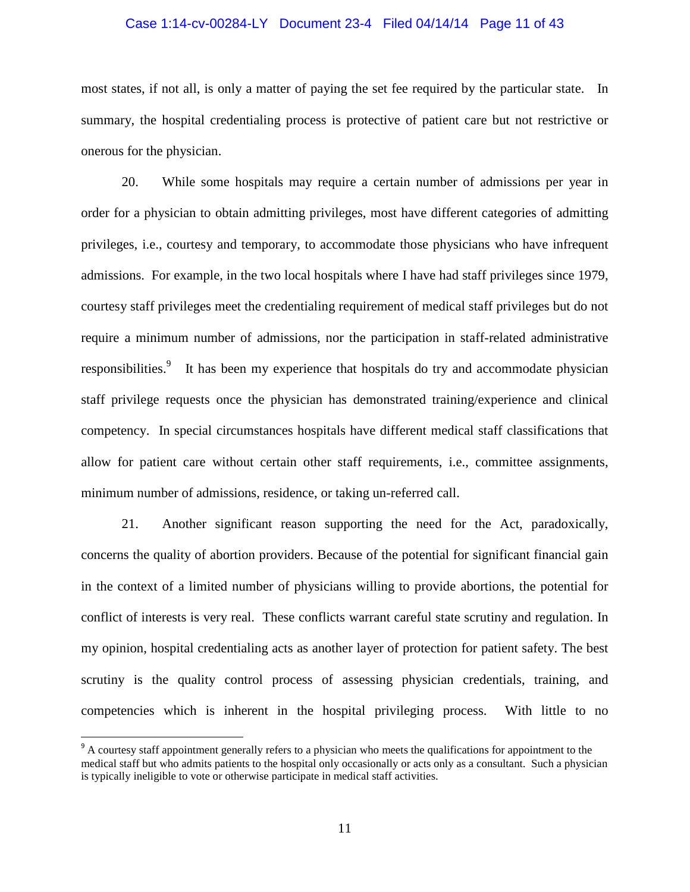#### Case 1:14-cv-00284-LY Document 23-4 Filed 04/14/14 Page 11 of 43

most states, if not all, is only a matter of paying the set fee required by the particular state. In summary, the hospital credentialing process is protective of patient care but not restrictive or onerous for the physician.

20. While some hospitals may require a certain number of admissions per year in order for a physician to obtain admitting privileges, most have different categories of admitting privileges, i.e., courtesy and temporary, to accommodate those physicians who have infrequent admissions. For example, in the two local hospitals where I have had staff privileges since 1979, courtesy staff privileges meet the credentialing requirement of medical staff privileges but do not require a minimum number of admissions, nor the participation in staff-related administrative responsibilities.<sup>9</sup> It has been my experience that hospitals do try and accommodate physician staff privilege requests once the physician has demonstrated training/experience and clinical competency. In special circumstances hospitals have different medical staff classifications that allow for patient care without certain other staff requirements, i.e., committee assignments, minimum number of admissions, residence, or taking un-referred call.

21. Another significant reason supporting the need for the Act, paradoxically, concerns the quality of abortion providers. Because of the potential for significant financial gain in the context of a limited number of physicians willing to provide abortions, the potential for conflict of interests is very real. These conflicts warrant careful state scrutiny and regulation. In my opinion, hospital credentialing acts as another layer of protection for patient safety. The best scrutiny is the quality control process of assessing physician credentials, training, and competencies which is inherent in the hospital privileging process. With little to no

<sup>&</sup>lt;sup>9</sup> A courtesy staff appointment generally refers to a physician who meets the qualifications for appointment to the medical staff but who admits patients to the hospital only occasionally or acts only as a consultant. Such a physician is typically ineligible to vote or otherwise participate in medical staff activities.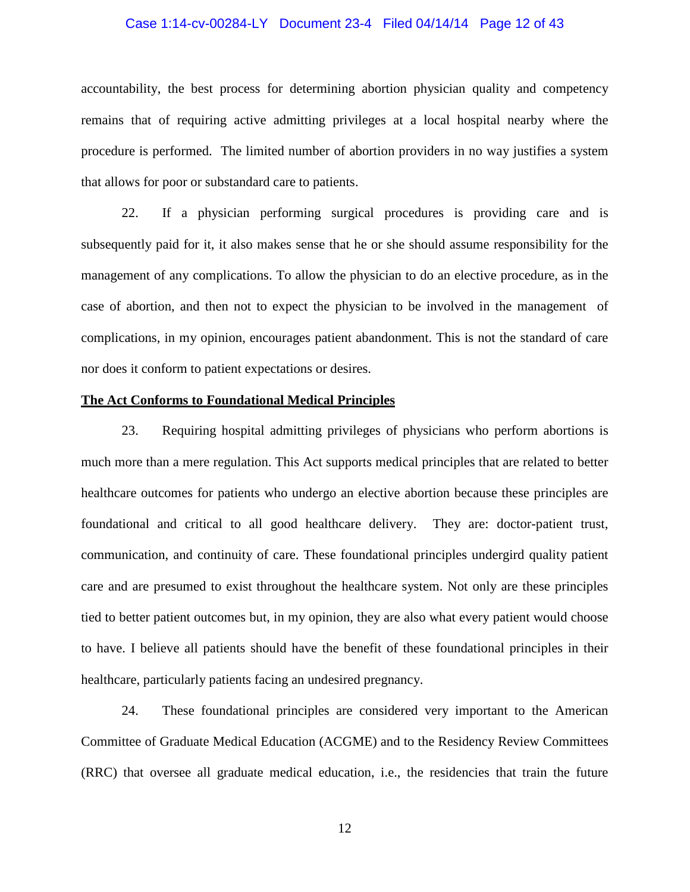#### Case 1:14-cv-00284-LY Document 23-4 Filed 04/14/14 Page 12 of 43

accountability, the best process for determining abortion physician quality and competency remains that of requiring active admitting privileges at a local hospital nearby where the procedure is performed. The limited number of abortion providers in no way justifies a system that allows for poor or substandard care to patients.

22. If a physician performing surgical procedures is providing care and is subsequently paid for it, it also makes sense that he or she should assume responsibility for the management of any complications. To allow the physician to do an elective procedure, as in the case of abortion, and then not to expect the physician to be involved in the management of complications, in my opinion, encourages patient abandonment. This is not the standard of care nor does it conform to patient expectations or desires.

#### **The Act Conforms to Foundational Medical Principles**

23. Requiring hospital admitting privileges of physicians who perform abortions is much more than a mere regulation. This Act supports medical principles that are related to better healthcare outcomes for patients who undergo an elective abortion because these principles are foundational and critical to all good healthcare delivery. They are: doctor-patient trust, communication, and continuity of care. These foundational principles undergird quality patient care and are presumed to exist throughout the healthcare system. Not only are these principles tied to better patient outcomes but, in my opinion, they are also what every patient would choose to have. I believe all patients should have the benefit of these foundational principles in their healthcare, particularly patients facing an undesired pregnancy.

24. These foundational principles are considered very important to the American Committee of Graduate Medical Education (ACGME) and to the Residency Review Committees (RRC) that oversee all graduate medical education, i.e., the residencies that train the future

12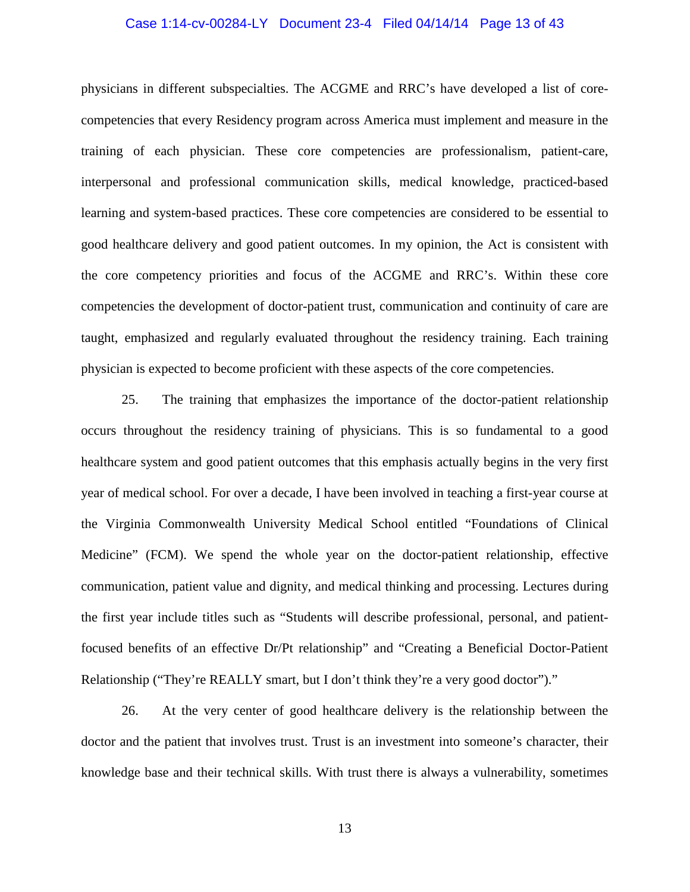#### Case 1:14-cv-00284-LY Document 23-4 Filed 04/14/14 Page 13 of 43

physicians in different subspecialties. The ACGME and RRC's have developed a list of corecompetencies that every Residency program across America must implement and measure in the training of each physician. These core competencies are professionalism, patient-care, interpersonal and professional communication skills, medical knowledge, practiced-based learning and system-based practices. These core competencies are considered to be essential to good healthcare delivery and good patient outcomes. In my opinion, the Act is consistent with the core competency priorities and focus of the ACGME and RRC's. Within these core competencies the development of doctor-patient trust, communication and continuity of care are taught, emphasized and regularly evaluated throughout the residency training. Each training physician is expected to become proficient with these aspects of the core competencies.

 25. The training that emphasizes the importance of the doctor-patient relationship occurs throughout the residency training of physicians. This is so fundamental to a good healthcare system and good patient outcomes that this emphasis actually begins in the very first year of medical school. For over a decade, I have been involved in teaching a first-year course at the Virginia Commonwealth University Medical School entitled "Foundations of Clinical Medicine" (FCM). We spend the whole year on the doctor-patient relationship, effective communication, patient value and dignity, and medical thinking and processing. Lectures during the first year include titles such as "Students will describe professional, personal, and patientfocused benefits of an effective Dr/Pt relationship" and "Creating a Beneficial Doctor-Patient Relationship ("They're REALLY smart, but I don't think they're a very good doctor")."

 26. At the very center of good healthcare delivery is the relationship between the doctor and the patient that involves trust. Trust is an investment into someone's character, their knowledge base and their technical skills. With trust there is always a vulnerability, sometimes

13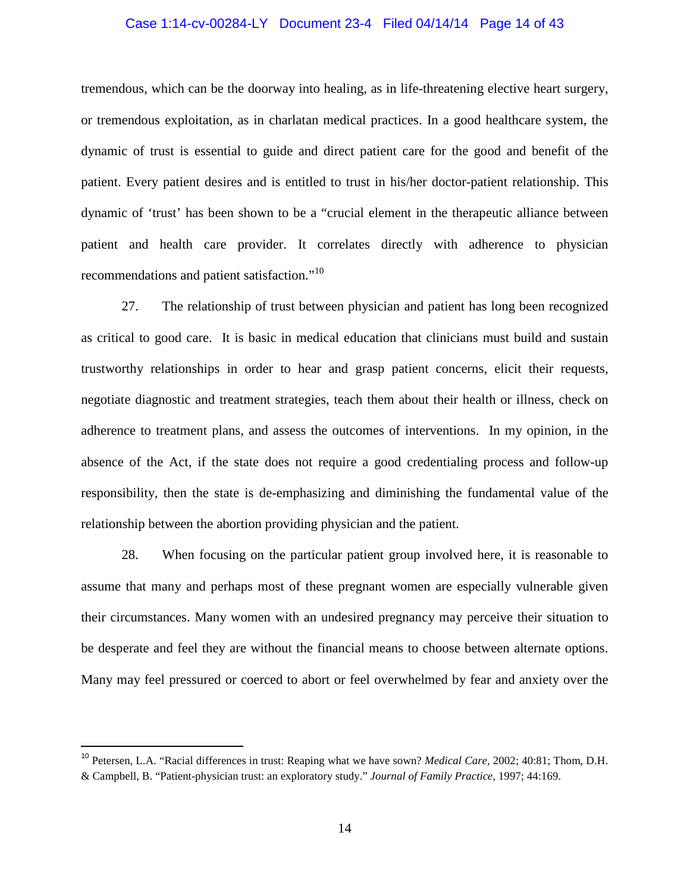#### Case 1:14-cv-00284-LY Document 23-4 Filed 04/14/14 Page 14 of 43

tremendous, which can be the doorway into healing, as in life-threatening elective heart surgery, or tremendous exploitation, as in charlatan medical practices. In a good healthcare system, the dynamic of trust is essential to guide and direct patient care for the good and benefit of the patient. Every patient desires and is entitled to trust in his/her doctor-patient relationship. This dynamic of 'trust' has been shown to be a "crucial element in the therapeutic alliance between patient and health care provider. It correlates directly with adherence to physician recommendations and patient satisfaction."<sup>10</sup>

 27. The relationship of trust between physician and patient has long been recognized as critical to good care. It is basic in medical education that clinicians must build and sustain trustworthy relationships in order to hear and grasp patient concerns, elicit their requests, negotiate diagnostic and treatment strategies, teach them about their health or illness, check on adherence to treatment plans, and assess the outcomes of interventions. In my opinion, in the absence of the Act, if the state does not require a good credentialing process and follow-up responsibility, then the state is de-emphasizing and diminishing the fundamental value of the relationship between the abortion providing physician and the patient.

28. When focusing on the particular patient group involved here, it is reasonable to assume that many and perhaps most of these pregnant women are especially vulnerable given their circumstances. Many women with an undesired pregnancy may perceive their situation to be desperate and feel they are without the financial means to choose between alternate options. Many may feel pressured or coerced to abort or feel overwhelmed by fear and anxiety over the

<sup>10</sup> Petersen, L.A. "Racial differences in trust: Reaping what we have sown? *Medical Care,* 2002; 40:81; Thom, D.H. & Campbell, B. "Patient-physician trust: an exploratory study." *Journal of Family Practice,* 1997; 44:169.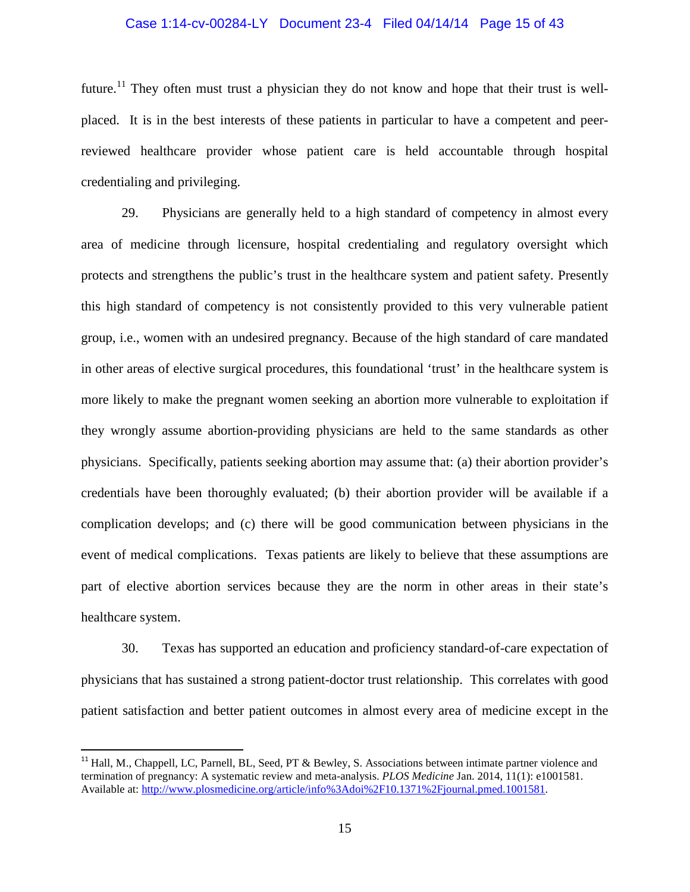#### Case 1:14-cv-00284-LY Document 23-4 Filed 04/14/14 Page 15 of 43

future.<sup>11</sup> They often must trust a physician they do not know and hope that their trust is wellplaced. It is in the best interests of these patients in particular to have a competent and peerreviewed healthcare provider whose patient care is held accountable through hospital credentialing and privileging.

29. Physicians are generally held to a high standard of competency in almost every area of medicine through licensure, hospital credentialing and regulatory oversight which protects and strengthens the public's trust in the healthcare system and patient safety. Presently this high standard of competency is not consistently provided to this very vulnerable patient group, i.e., women with an undesired pregnancy. Because of the high standard of care mandated in other areas of elective surgical procedures, this foundational 'trust' in the healthcare system is more likely to make the pregnant women seeking an abortion more vulnerable to exploitation if they wrongly assume abortion-providing physicians are held to the same standards as other physicians. Specifically, patients seeking abortion may assume that: (a) their abortion provider's credentials have been thoroughly evaluated; (b) their abortion provider will be available if a complication develops; and (c) there will be good communication between physicians in the event of medical complications. Texas patients are likely to believe that these assumptions are part of elective abortion services because they are the norm in other areas in their state's healthcare system.

30. Texas has supported an education and proficiency standard-of-care expectation of physicians that has sustained a strong patient-doctor trust relationship. This correlates with good patient satisfaction and better patient outcomes in almost every area of medicine except in the

<sup>&</sup>lt;sup>11</sup> Hall, M., Chappell, LC, Parnell, BL, Seed, PT & Bewley, S. Associations between intimate partner violence and termination of pregnancy: A systematic review and meta-analysis. *PLOS Medicine* Jan. 2014, 11(1): e1001581. Available at: http://www.plosmedicine.org/article/info%3Adoi%2F10.1371%2Fjournal.pmed.1001581.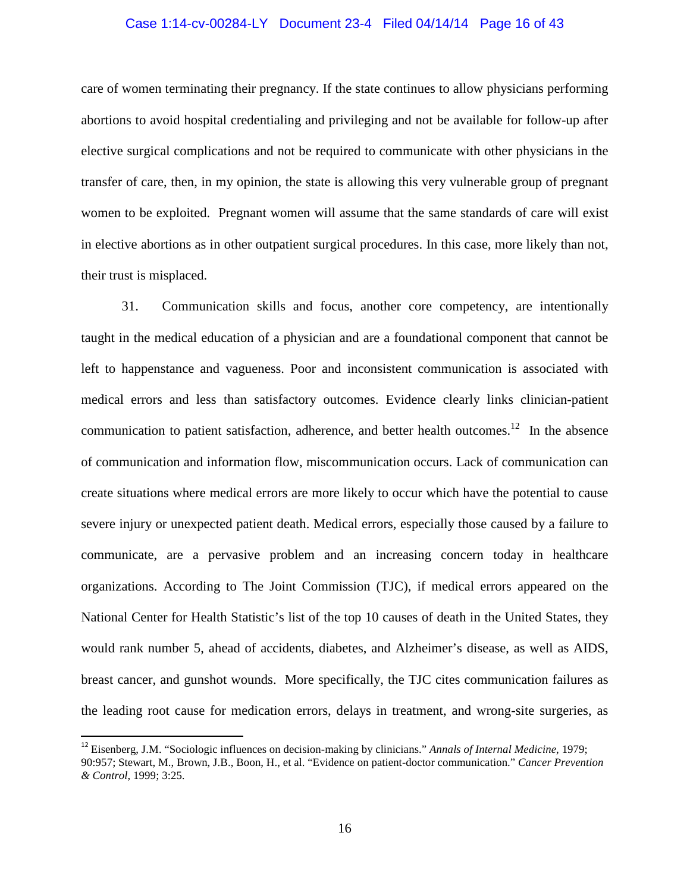#### Case 1:14-cv-00284-LY Document 23-4 Filed 04/14/14 Page 16 of 43

care of women terminating their pregnancy. If the state continues to allow physicians performing abortions to avoid hospital credentialing and privileging and not be available for follow-up after elective surgical complications and not be required to communicate with other physicians in the transfer of care, then, in my opinion, the state is allowing this very vulnerable group of pregnant women to be exploited. Pregnant women will assume that the same standards of care will exist in elective abortions as in other outpatient surgical procedures. In this case, more likely than not, their trust is misplaced.

 31. Communication skills and focus, another core competency, are intentionally taught in the medical education of a physician and are a foundational component that cannot be left to happenstance and vagueness. Poor and inconsistent communication is associated with medical errors and less than satisfactory outcomes. Evidence clearly links clinician-patient communication to patient satisfaction, adherence, and better health outcomes.<sup>12</sup> In the absence of communication and information flow, miscommunication occurs. Lack of communication can create situations where medical errors are more likely to occur which have the potential to cause severe injury or unexpected patient death. Medical errors, especially those caused by a failure to communicate, are a pervasive problem and an increasing concern today in healthcare organizations. According to The Joint Commission (TJC), if medical errors appeared on the National Center for Health Statistic's list of the top 10 causes of death in the United States, they would rank number 5, ahead of accidents, diabetes, and Alzheimer's disease, as well as AIDS, breast cancer, and gunshot wounds. More specifically, the TJC cites communication failures as the leading root cause for medication errors, delays in treatment, and wrong-site surgeries, as

<sup>12</sup> Eisenberg, J.M. "Sociologic influences on decision-making by clinicians." *Annals of Internal Medicine*, 1979; 90:957; Stewart, M., Brown, J.B., Boon, H., et al. "Evidence on patient-doctor communication." *Cancer Prevention & Control*, 1999; 3:25.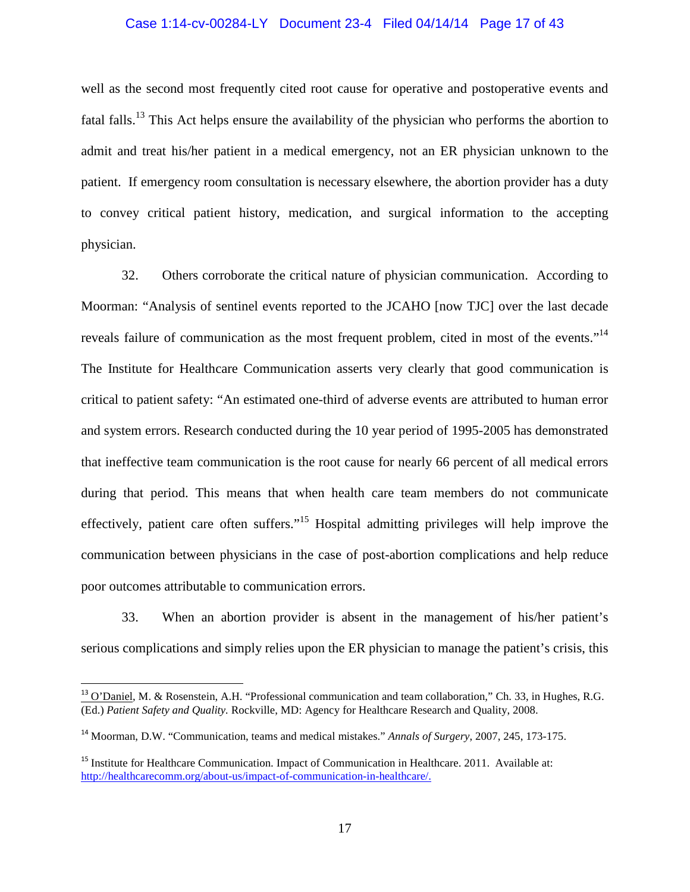#### Case 1:14-cv-00284-LY Document 23-4 Filed 04/14/14 Page 17 of 43

well as the second most frequently cited root cause for operative and postoperative events and fatal falls.<sup>13</sup> This Act helps ensure the availability of the physician who performs the abortion to admit and treat his/her patient in a medical emergency, not an ER physician unknown to the patient. If emergency room consultation is necessary elsewhere, the abortion provider has a duty to convey critical patient history, medication, and surgical information to the accepting physician.

 32. Others corroborate the critical nature of physician communication. According to Moorman: "Analysis of sentinel events reported to the JCAHO [now TJC] over the last decade reveals failure of communication as the most frequent problem, cited in most of the events."<sup>14</sup> The Institute for Healthcare Communication asserts very clearly that good communication is critical to patient safety: "An estimated one-third of adverse events are attributed to human error and system errors. Research conducted during the 10 year period of 1995-2005 has demonstrated that ineffective team communication is the root cause for nearly 66 percent of all medical errors during that period. This means that when health care team members do not communicate effectively, patient care often suffers."<sup>15</sup> Hospital admitting privileges will help improve the communication between physicians in the case of post-abortion complications and help reduce poor outcomes attributable to communication errors.

 33. When an abortion provider is absent in the management of his/her patient's serious complications and simply relies upon the ER physician to manage the patient's crisis, this

<sup>&</sup>lt;sup>13</sup> O'Daniel, M. & Rosenstein, A.H. "Professional communication and team collaboration," Ch. 33, in Hughes, R.G. (Ed.) *Patient Safety and Quality.* Rockville, MD: Agency for Healthcare Research and Quality, 2008.

<sup>14</sup> Moorman, D.W. "Communication, teams and medical mistakes." *Annals of Surgery*, 2007, 245, 173-175.

<sup>&</sup>lt;sup>15</sup> Institute for Healthcare Communication. Impact of Communication in Healthcare. 2011. Available at: http://healthcarecomm.org/about-us/impact-of-communication-in-healthcare/.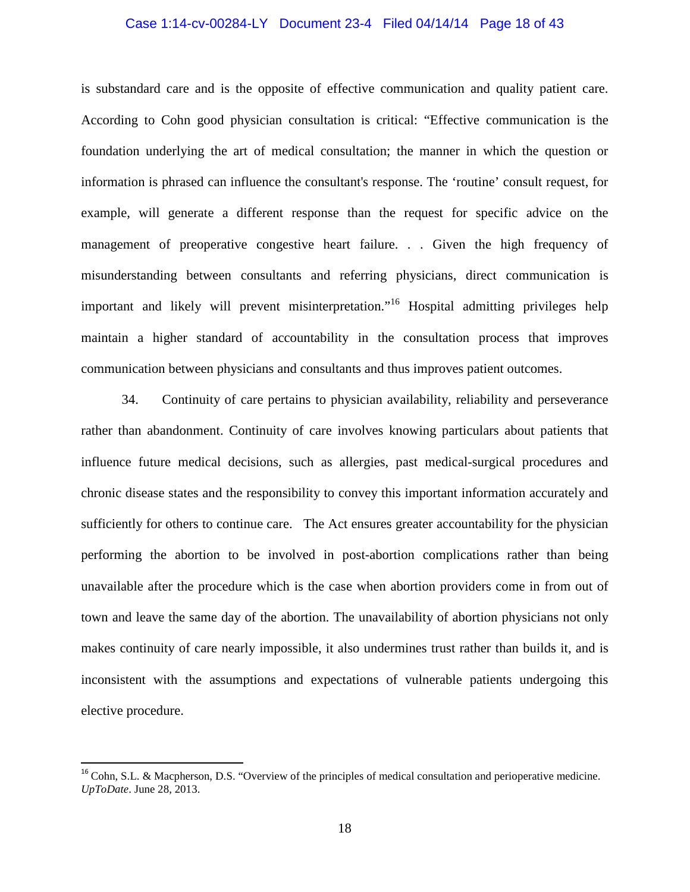#### Case 1:14-cv-00284-LY Document 23-4 Filed 04/14/14 Page 18 of 43

is substandard care and is the opposite of effective communication and quality patient care. According to Cohn good physician consultation is critical: "Effective communication is the foundation underlying the art of medical consultation; the manner in which the question or information is phrased can influence the consultant's response. The 'routine' consult request, for example, will generate a different response than the request for specific advice on the management of preoperative congestive heart failure. . . Given the high frequency of misunderstanding between consultants and referring physicians, direct communication is important and likely will prevent misinterpretation."<sup>16</sup> Hospital admitting privileges help maintain a higher standard of accountability in the consultation process that improves communication between physicians and consultants and thus improves patient outcomes.

 34. Continuity of care pertains to physician availability, reliability and perseverance rather than abandonment. Continuity of care involves knowing particulars about patients that influence future medical decisions, such as allergies, past medical-surgical procedures and chronic disease states and the responsibility to convey this important information accurately and sufficiently for others to continue care. The Act ensures greater accountability for the physician performing the abortion to be involved in post-abortion complications rather than being unavailable after the procedure which is the case when abortion providers come in from out of town and leave the same day of the abortion. The unavailability of abortion physicians not only makes continuity of care nearly impossible, it also undermines trust rather than builds it, and is inconsistent with the assumptions and expectations of vulnerable patients undergoing this elective procedure.

<sup>&</sup>lt;sup>16</sup> Cohn, S.L. & Macpherson, D.S. "Overview of the principles of medical consultation and perioperative medicine. *UpToDate*. June 28, 2013.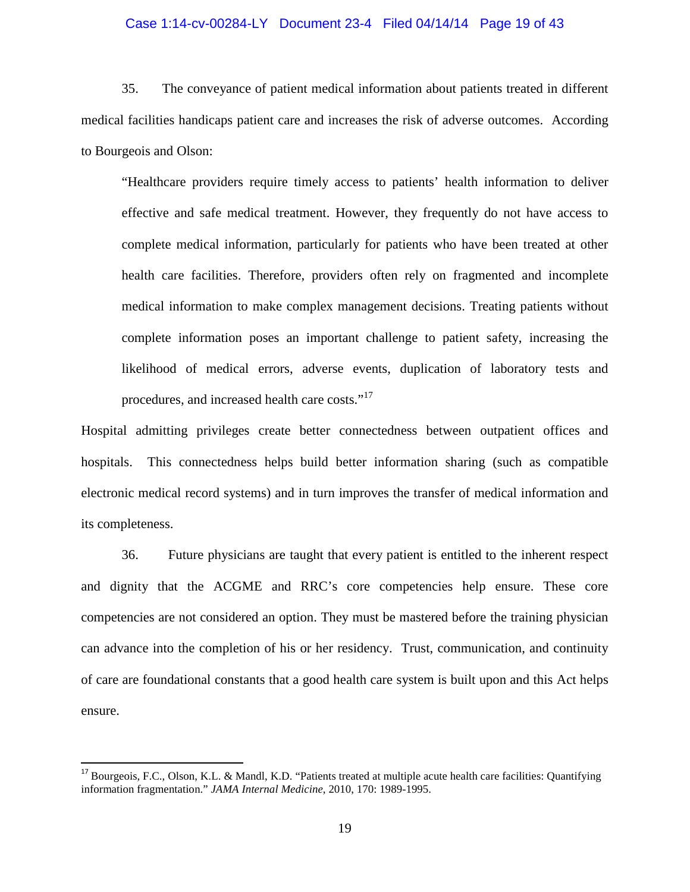#### Case 1:14-cv-00284-LY Document 23-4 Filed 04/14/14 Page 19 of 43

 35. The conveyance of patient medical information about patients treated in different medical facilities handicaps patient care and increases the risk of adverse outcomes. According to Bourgeois and Olson:

"Healthcare providers require timely access to patients' health information to deliver effective and safe medical treatment. However, they frequently do not have access to complete medical information, particularly for patients who have been treated at other health care facilities. Therefore, providers often rely on fragmented and incomplete medical information to make complex management decisions. Treating patients without complete information poses an important challenge to patient safety, increasing the likelihood of medical errors, adverse events, duplication of laboratory tests and procedures, and increased health care costs."<sup>17</sup>

Hospital admitting privileges create better connectedness between outpatient offices and hospitals. This connectedness helps build better information sharing (such as compatible electronic medical record systems) and in turn improves the transfer of medical information and its completeness.

36. Future physicians are taught that every patient is entitled to the inherent respect and dignity that the ACGME and RRC's core competencies help ensure. These core competencies are not considered an option. They must be mastered before the training physician can advance into the completion of his or her residency. Trust, communication, and continuity of care are foundational constants that a good health care system is built upon and this Act helps ensure.

<sup>&</sup>lt;sup>17</sup> Bourgeois, F.C., Olson, K.L. & Mandl, K.D. "Patients treated at multiple acute health care facilities: Quantifying information fragmentation." *JAMA Internal Medicine*, 2010, 170: 1989-1995.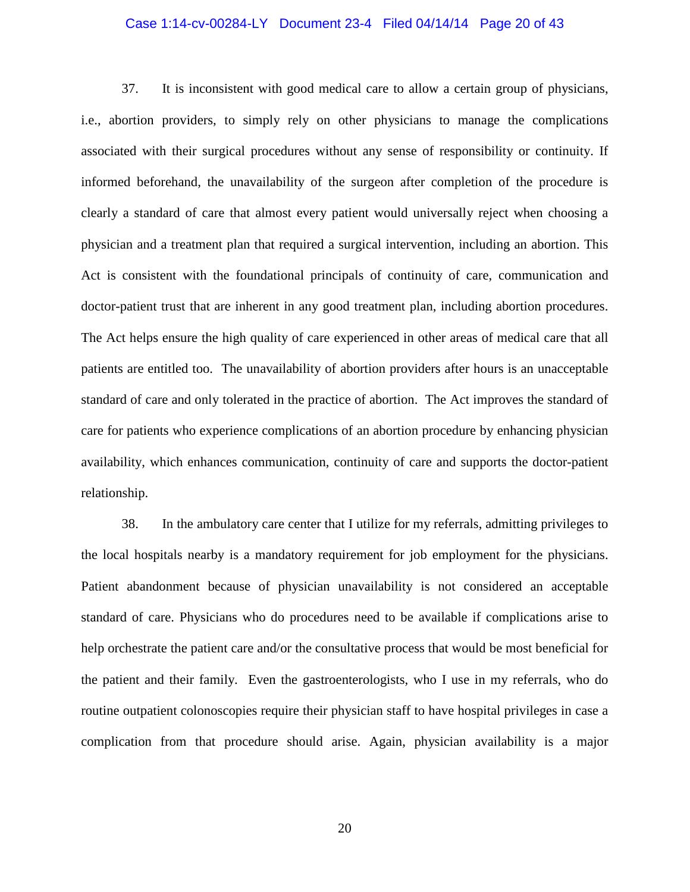#### Case 1:14-cv-00284-LY Document 23-4 Filed 04/14/14 Page 20 of 43

 37. It is inconsistent with good medical care to allow a certain group of physicians, i.e., abortion providers, to simply rely on other physicians to manage the complications associated with their surgical procedures without any sense of responsibility or continuity. If informed beforehand, the unavailability of the surgeon after completion of the procedure is clearly a standard of care that almost every patient would universally reject when choosing a physician and a treatment plan that required a surgical intervention, including an abortion. This Act is consistent with the foundational principals of continuity of care, communication and doctor-patient trust that are inherent in any good treatment plan, including abortion procedures. The Act helps ensure the high quality of care experienced in other areas of medical care that all patients are entitled too. The unavailability of abortion providers after hours is an unacceptable standard of care and only tolerated in the practice of abortion. The Act improves the standard of care for patients who experience complications of an abortion procedure by enhancing physician availability, which enhances communication, continuity of care and supports the doctor-patient relationship.

38. In the ambulatory care center that I utilize for my referrals, admitting privileges to the local hospitals nearby is a mandatory requirement for job employment for the physicians. Patient abandonment because of physician unavailability is not considered an acceptable standard of care. Physicians who do procedures need to be available if complications arise to help orchestrate the patient care and/or the consultative process that would be most beneficial for the patient and their family. Even the gastroenterologists, who I use in my referrals, who do routine outpatient colonoscopies require their physician staff to have hospital privileges in case a complication from that procedure should arise. Again, physician availability is a major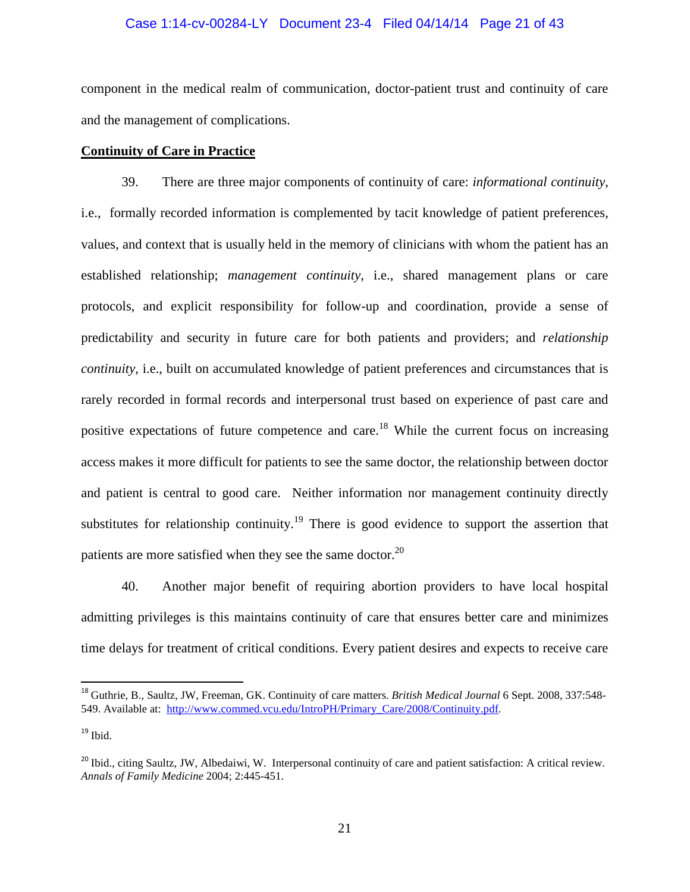#### Case 1:14-cv-00284-LY Document 23-4 Filed 04/14/14 Page 21 of 43

component in the medical realm of communication, doctor-patient trust and continuity of care and the management of complications.

## **Continuity of Care in Practice**

39. There are three major components of continuity of care: *informational continuity*, i.e., formally recorded information is complemented by tacit knowledge of patient preferences, values, and context that is usually held in the memory of clinicians with whom the patient has an established relationship; *management continuity*, i.e., shared management plans or care protocols, and explicit responsibility for follow-up and coordination, provide a sense of predictability and security in future care for both patients and providers; and *relationship continuity*, i.e., built on accumulated knowledge of patient preferences and circumstances that is rarely recorded in formal records and interpersonal trust based on experience of past care and positive expectations of future competence and care.<sup>18</sup> While the current focus on increasing access makes it more difficult for patients to see the same doctor, the relationship between doctor and patient is central to good care. Neither information nor management continuity directly substitutes for relationship continuity.<sup>19</sup> There is good evidence to support the assertion that patients are more satisfied when they see the same doctor. $^{20}$ 

40. Another major benefit of requiring abortion providers to have local hospital admitting privileges is this maintains continuity of care that ensures better care and minimizes time delays for treatment of critical conditions. Every patient desires and expects to receive care

<sup>18</sup> Guthrie, B., Saultz, JW, Freeman, GK. Continuity of care matters. *British Medical Journal* 6 Sept. 2008, 337:548- 549. Available at: http://www.commed.vcu.edu/IntroPH/Primary\_Care/2008/Continuity.pdf.

 $19$  Ibid.

<sup>&</sup>lt;sup>20</sup> Ibid., citing Saultz, JW, Albedaiwi, W. Interpersonal continuity of care and patient satisfaction: A critical review. *Annals of Family Medicine* 2004; 2:445-451.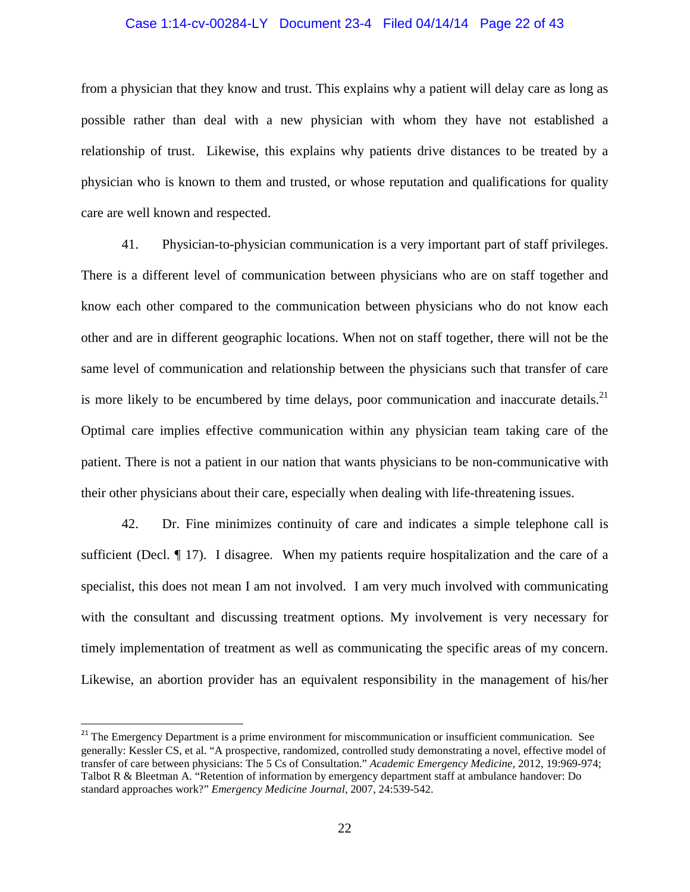#### Case 1:14-cv-00284-LY Document 23-4 Filed 04/14/14 Page 22 of 43

from a physician that they know and trust. This explains why a patient will delay care as long as possible rather than deal with a new physician with whom they have not established a relationship of trust. Likewise, this explains why patients drive distances to be treated by a physician who is known to them and trusted, or whose reputation and qualifications for quality care are well known and respected.

41. Physician-to-physician communication is a very important part of staff privileges. There is a different level of communication between physicians who are on staff together and know each other compared to the communication between physicians who do not know each other and are in different geographic locations. When not on staff together, there will not be the same level of communication and relationship between the physicians such that transfer of care is more likely to be encumbered by time delays, poor communication and inaccurate details.<sup>21</sup> Optimal care implies effective communication within any physician team taking care of the patient. There is not a patient in our nation that wants physicians to be non-communicative with their other physicians about their care, especially when dealing with life-threatening issues.

42. Dr. Fine minimizes continuity of care and indicates a simple telephone call is sufficient (Decl. ¶ 17). I disagree. When my patients require hospitalization and the care of a specialist, this does not mean I am not involved. I am very much involved with communicating with the consultant and discussing treatment options. My involvement is very necessary for timely implementation of treatment as well as communicating the specific areas of my concern. Likewise, an abortion provider has an equivalent responsibility in the management of his/her

<sup>&</sup>lt;sup>21</sup> The Emergency Department is a prime environment for miscommunication or insufficient communication. See generally: Kessler CS, et al. "A prospective, randomized, controlled study demonstrating a novel, effective model of transfer of care between physicians: The 5 Cs of Consultation." *Academic Emergency Medicine*, 2012, 19:969-974; Talbot R & Bleetman A. "Retention of information by emergency department staff at ambulance handover: Do standard approaches work?" *Emergency Medicine Journal*, 2007, 24:539-542.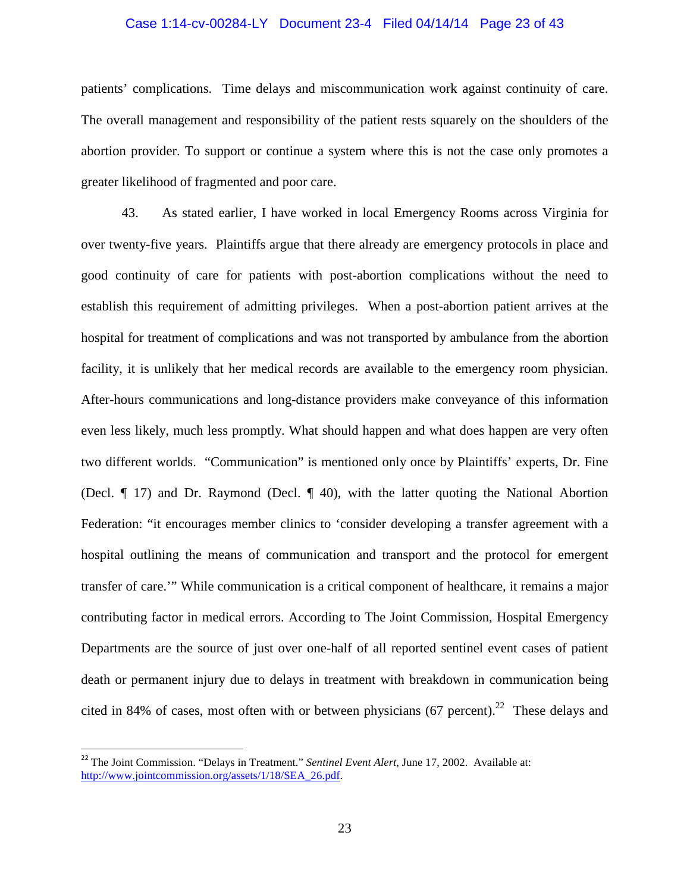#### Case 1:14-cv-00284-LY Document 23-4 Filed 04/14/14 Page 23 of 43

patients' complications. Time delays and miscommunication work against continuity of care. The overall management and responsibility of the patient rests squarely on the shoulders of the abortion provider. To support or continue a system where this is not the case only promotes a greater likelihood of fragmented and poor care.

43. As stated earlier, I have worked in local Emergency Rooms across Virginia for over twenty-five years. Plaintiffs argue that there already are emergency protocols in place and good continuity of care for patients with post-abortion complications without the need to establish this requirement of admitting privileges. When a post-abortion patient arrives at the hospital for treatment of complications and was not transported by ambulance from the abortion facility, it is unlikely that her medical records are available to the emergency room physician. After-hours communications and long-distance providers make conveyance of this information even less likely, much less promptly. What should happen and what does happen are very often two different worlds. "Communication" is mentioned only once by Plaintiffs' experts, Dr. Fine (Decl. ¶ 17) and Dr. Raymond (Decl. ¶ 40), with the latter quoting the National Abortion Federation: "it encourages member clinics to 'consider developing a transfer agreement with a hospital outlining the means of communication and transport and the protocol for emergent transfer of care.'" While communication is a critical component of healthcare, it remains a major contributing factor in medical errors. According to The Joint Commission, Hospital Emergency Departments are the source of just over one-half of all reported sentinel event cases of patient death or permanent injury due to delays in treatment with breakdown in communication being cited in 84% of cases, most often with or between physicians (67 percent).<sup>22</sup> These delays and

<sup>&</sup>lt;sup>22</sup> The Joint Commission. "Delays in Treatment." *Sentinel Event Alert*, June 17, 2002. Available at: http://www.jointcommission.org/assets/1/18/SEA\_26.pdf.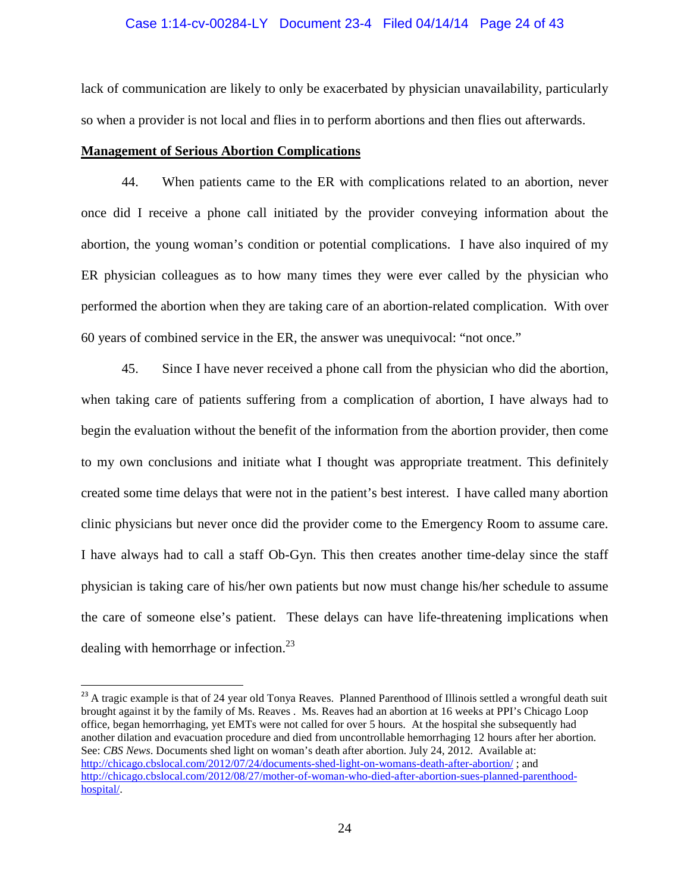#### Case 1:14-cv-00284-LY Document 23-4 Filed 04/14/14 Page 24 of 43

lack of communication are likely to only be exacerbated by physician unavailability, particularly so when a provider is not local and flies in to perform abortions and then flies out afterwards.

#### **Management of Serious Abortion Complications**

 $\overline{a}$ 

44. When patients came to the ER with complications related to an abortion, never once did I receive a phone call initiated by the provider conveying information about the abortion, the young woman's condition or potential complications. I have also inquired of my ER physician colleagues as to how many times they were ever called by the physician who performed the abortion when they are taking care of an abortion-related complication. With over 60 years of combined service in the ER, the answer was unequivocal: "not once."

45. Since I have never received a phone call from the physician who did the abortion, when taking care of patients suffering from a complication of abortion, I have always had to begin the evaluation without the benefit of the information from the abortion provider, then come to my own conclusions and initiate what I thought was appropriate treatment. This definitely created some time delays that were not in the patient's best interest. I have called many abortion clinic physicians but never once did the provider come to the Emergency Room to assume care. I have always had to call a staff Ob-Gyn. This then creates another time-delay since the staff physician is taking care of his/her own patients but now must change his/her schedule to assume the care of someone else's patient. These delays can have life-threatening implications when dealing with hemorrhage or infection.<sup>23</sup>

<sup>&</sup>lt;sup>23</sup> A tragic example is that of 24 year old Tonya Reaves. Planned Parenthood of Illinois settled a wrongful death suit brought against it by the family of Ms. Reaves . Ms. Reaves had an abortion at 16 weeks at PPI's Chicago Loop office, began hemorrhaging, yet EMTs were not called for over 5 hours. At the hospital she subsequently had another dilation and evacuation procedure and died from uncontrollable hemorrhaging 12 hours after her abortion. See: *CBS News*. Documents shed light on woman's death after abortion. July 24, 2012. Available at: http://chicago.cbslocal.com/2012/07/24/documents-shed-light-on-womans-death-after-abortion/ ; and http://chicago.cbslocal.com/2012/08/27/mother-of-woman-who-died-after-abortion-sues-planned-parenthoodhospital/.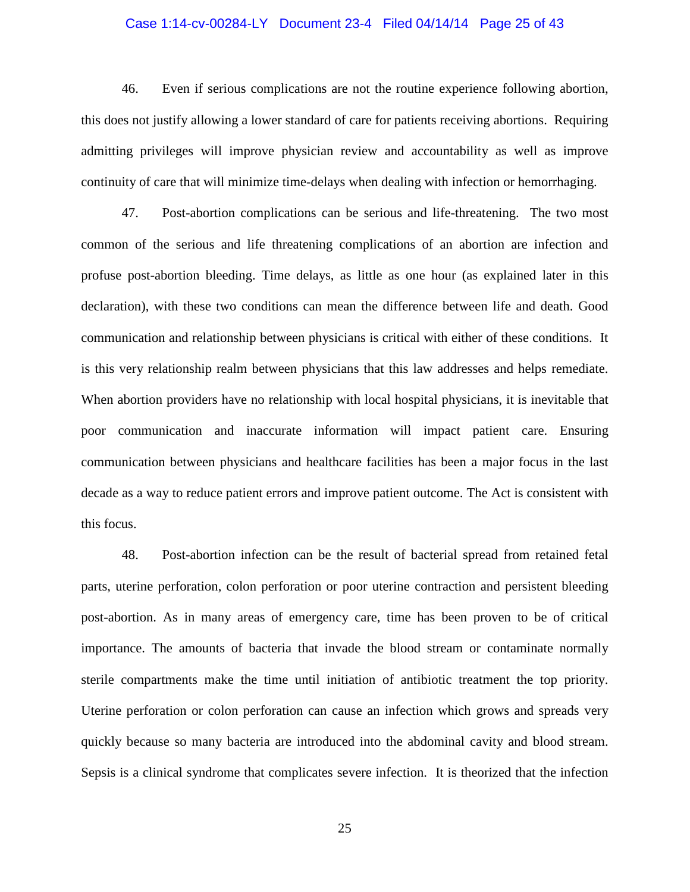#### Case 1:14-cv-00284-LY Document 23-4 Filed 04/14/14 Page 25 of 43

46. Even if serious complications are not the routine experience following abortion, this does not justify allowing a lower standard of care for patients receiving abortions. Requiring admitting privileges will improve physician review and accountability as well as improve continuity of care that will minimize time-delays when dealing with infection or hemorrhaging.

47. Post-abortion complications can be serious and life-threatening. The two most common of the serious and life threatening complications of an abortion are infection and profuse post-abortion bleeding. Time delays, as little as one hour (as explained later in this declaration), with these two conditions can mean the difference between life and death. Good communication and relationship between physicians is critical with either of these conditions. It is this very relationship realm between physicians that this law addresses and helps remediate. When abortion providers have no relationship with local hospital physicians, it is inevitable that poor communication and inaccurate information will impact patient care. Ensuring communication between physicians and healthcare facilities has been a major focus in the last decade as a way to reduce patient errors and improve patient outcome. The Act is consistent with this focus.

48. Post-abortion infection can be the result of bacterial spread from retained fetal parts, uterine perforation, colon perforation or poor uterine contraction and persistent bleeding post-abortion. As in many areas of emergency care, time has been proven to be of critical importance. The amounts of bacteria that invade the blood stream or contaminate normally sterile compartments make the time until initiation of antibiotic treatment the top priority. Uterine perforation or colon perforation can cause an infection which grows and spreads very quickly because so many bacteria are introduced into the abdominal cavity and blood stream. Sepsis is a clinical syndrome that complicates severe infection. It is theorized that the infection

25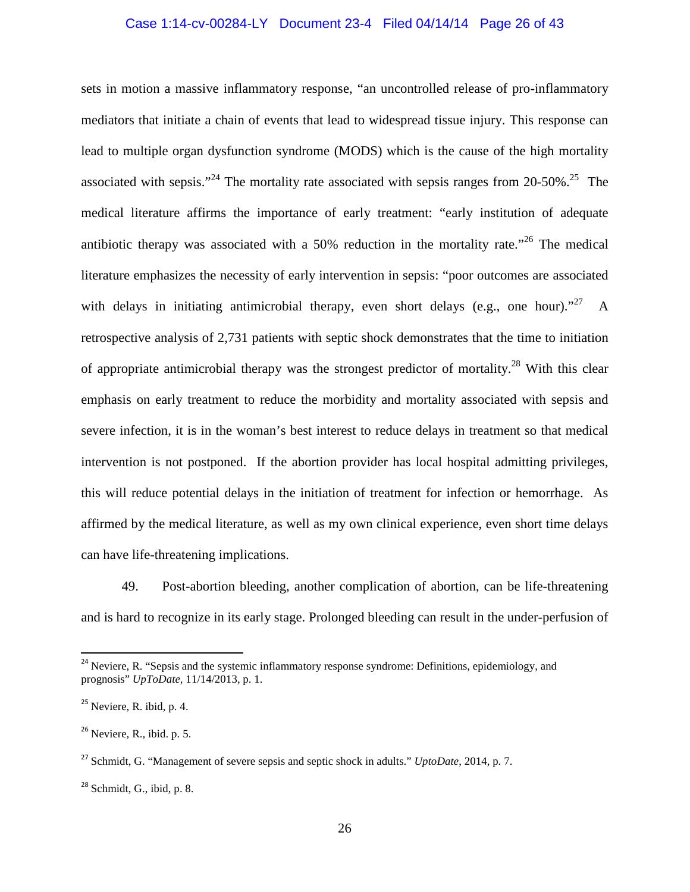#### Case 1:14-cv-00284-LY Document 23-4 Filed 04/14/14 Page 26 of 43

sets in motion a massive inflammatory response, "an uncontrolled release of pro-inflammatory mediators that initiate a chain of events that lead to widespread tissue injury. This response can lead to multiple organ dysfunction syndrome (MODS) which is the cause of the high mortality associated with sepsis."<sup>24</sup> The mortality rate associated with sepsis ranges from 20-50%.<sup>25</sup> The medical literature affirms the importance of early treatment: "early institution of adequate antibiotic therapy was associated with a 50% reduction in the mortality rate.<sup> $26$ </sup> The medical literature emphasizes the necessity of early intervention in sepsis: "poor outcomes are associated with delays in initiating antimicrobial therapy, even short delays (e.g., one hour).<sup> $27$ </sup> A retrospective analysis of 2,731 patients with septic shock demonstrates that the time to initiation of appropriate antimicrobial therapy was the strongest predictor of mortality.<sup>28</sup> With this clear emphasis on early treatment to reduce the morbidity and mortality associated with sepsis and severe infection, it is in the woman's best interest to reduce delays in treatment so that medical intervention is not postponed. If the abortion provider has local hospital admitting privileges, this will reduce potential delays in the initiation of treatment for infection or hemorrhage. As affirmed by the medical literature, as well as my own clinical experience, even short time delays can have life-threatening implications.

49. Post-abortion bleeding, another complication of abortion, can be life-threatening and is hard to recognize in its early stage. Prolonged bleeding can result in the under-perfusion of

<sup>&</sup>lt;sup>24</sup> Neviere, R. "Sepsis and the systemic inflammatory response syndrome: Definitions, epidemiology, and prognosis" *UpToDate,* 11/14/2013, p. 1.

 $25$  Neviere, R. ibid, p. 4.

 $26$  Neviere, R., ibid. p. 5.

<sup>27</sup> Schmidt, G. "Management of severe sepsis and septic shock in adults." *UptoDate*, 2014, p. 7.

 $28$  Schmidt, G., ibid, p. 8.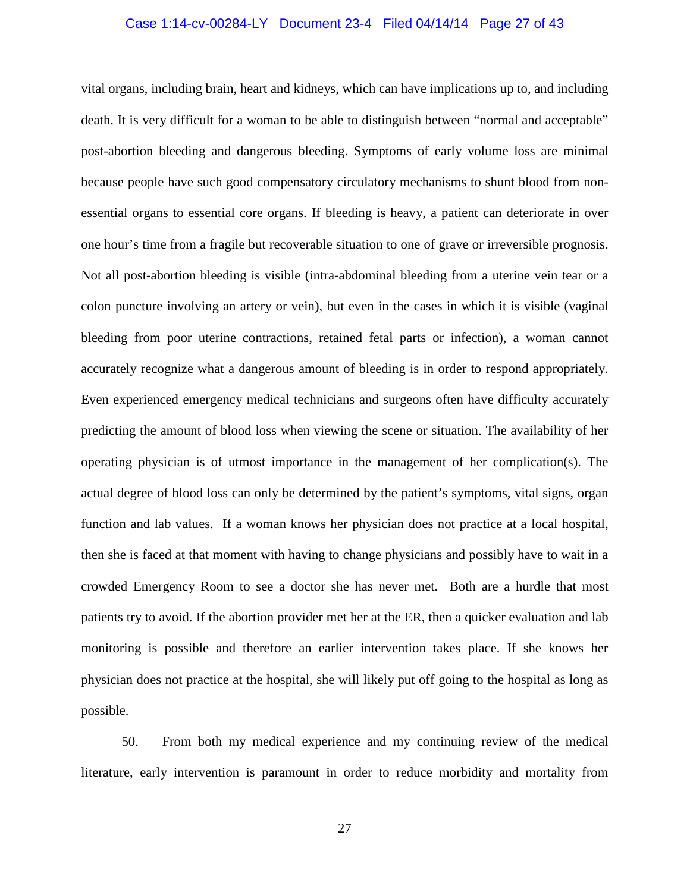#### Case 1:14-cv-00284-LY Document 23-4 Filed 04/14/14 Page 27 of 43

vital organs, including brain, heart and kidneys, which can have implications up to, and including death. It is very difficult for a woman to be able to distinguish between "normal and acceptable" post-abortion bleeding and dangerous bleeding. Symptoms of early volume loss are minimal because people have such good compensatory circulatory mechanisms to shunt blood from nonessential organs to essential core organs. If bleeding is heavy, a patient can deteriorate in over one hour's time from a fragile but recoverable situation to one of grave or irreversible prognosis. Not all post-abortion bleeding is visible (intra-abdominal bleeding from a uterine vein tear or a colon puncture involving an artery or vein), but even in the cases in which it is visible (vaginal bleeding from poor uterine contractions, retained fetal parts or infection), a woman cannot accurately recognize what a dangerous amount of bleeding is in order to respond appropriately. Even experienced emergency medical technicians and surgeons often have difficulty accurately predicting the amount of blood loss when viewing the scene or situation. The availability of her operating physician is of utmost importance in the management of her complication(s). The actual degree of blood loss can only be determined by the patient's symptoms, vital signs, organ function and lab values. If a woman knows her physician does not practice at a local hospital, then she is faced at that moment with having to change physicians and possibly have to wait in a crowded Emergency Room to see a doctor she has never met. Both are a hurdle that most patients try to avoid. If the abortion provider met her at the ER, then a quicker evaluation and lab monitoring is possible and therefore an earlier intervention takes place. If she knows her physician does not practice at the hospital, she will likely put off going to the hospital as long as possible.

50. From both my medical experience and my continuing review of the medical literature, early intervention is paramount in order to reduce morbidity and mortality from

27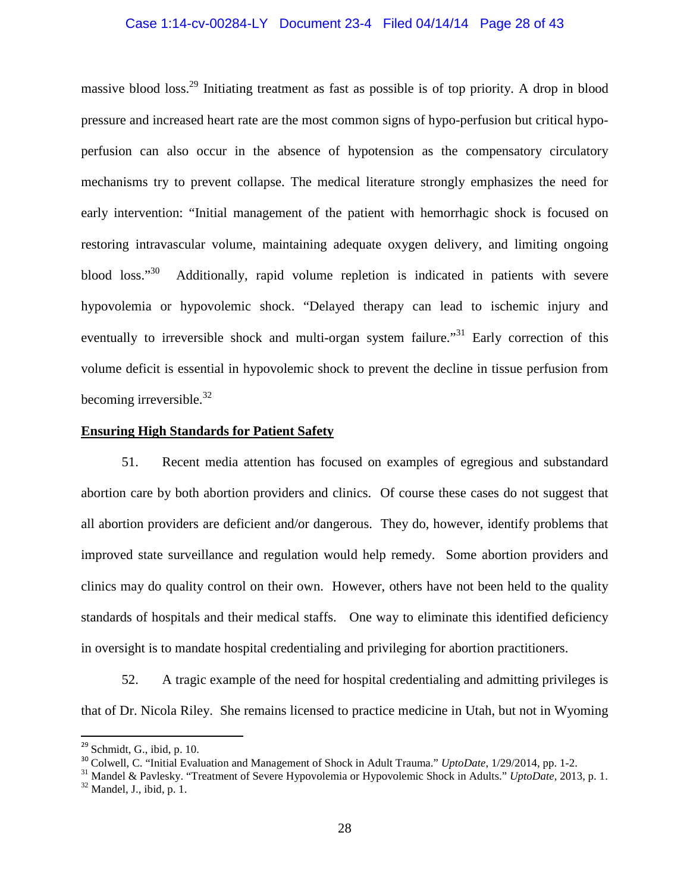#### Case 1:14-cv-00284-LY Document 23-4 Filed 04/14/14 Page 28 of 43

massive blood loss.<sup>29</sup> Initiating treatment as fast as possible is of top priority. A drop in blood pressure and increased heart rate are the most common signs of hypo-perfusion but critical hypoperfusion can also occur in the absence of hypotension as the compensatory circulatory mechanisms try to prevent collapse. The medical literature strongly emphasizes the need for early intervention: "Initial management of the patient with hemorrhagic shock is focused on restoring intravascular volume, maintaining adequate oxygen delivery, and limiting ongoing blood loss."<sup>30</sup> Additionally, rapid volume repletion is indicated in patients with severe hypovolemia or hypovolemic shock. "Delayed therapy can lead to ischemic injury and eventually to irreversible shock and multi-organ system failure."<sup>31</sup> Early correction of this volume deficit is essential in hypovolemic shock to prevent the decline in tissue perfusion from becoming irreversible.<sup>32</sup>

#### **Ensuring High Standards for Patient Safety**

51. Recent media attention has focused on examples of egregious and substandard abortion care by both abortion providers and clinics. Of course these cases do not suggest that all abortion providers are deficient and/or dangerous. They do, however, identify problems that improved state surveillance and regulation would help remedy. Some abortion providers and clinics may do quality control on their own. However, others have not been held to the quality standards of hospitals and their medical staffs. One way to eliminate this identified deficiency in oversight is to mandate hospital credentialing and privileging for abortion practitioners.

52. A tragic example of the need for hospital credentialing and admitting privileges is that of Dr. Nicola Riley. She remains licensed to practice medicine in Utah, but not in Wyoming

 $29$  Schmidt, G., ibid, p. 10.

<sup>30</sup> Colwell, C. "Initial Evaluation and Management of Shock in Adult Trauma." *UptoDate*, 1/29/2014, pp. 1-2.

<sup>31</sup> Mandel & Pavlesky. "Treatment of Severe Hypovolemia or Hypovolemic Shock in Adults." *UptoDate*, 2013, p. 1.  $32$  Mandel, J., ibid, p. 1.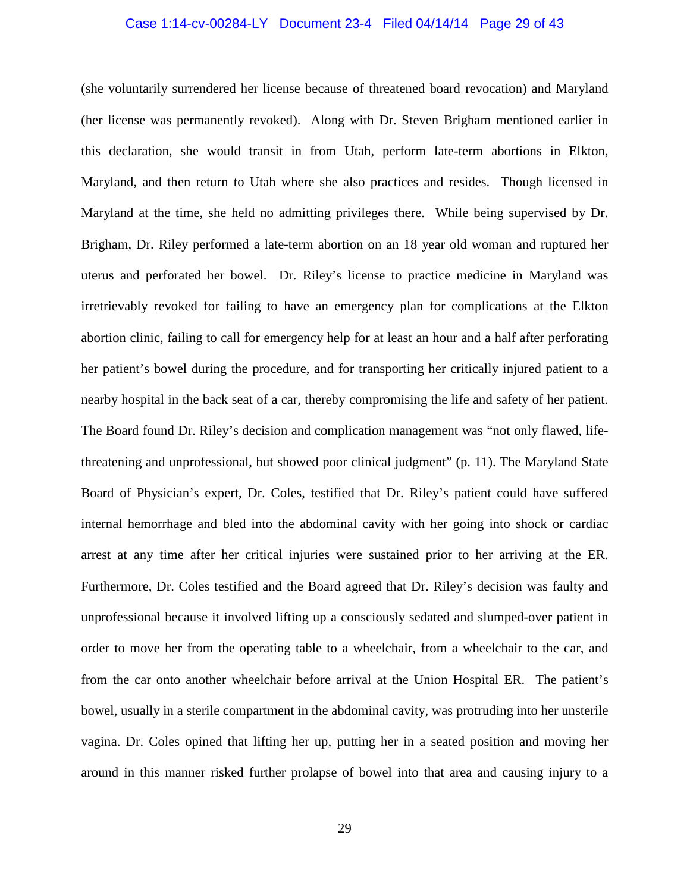#### Case 1:14-cv-00284-LY Document 23-4 Filed 04/14/14 Page 29 of 43

(she voluntarily surrendered her license because of threatened board revocation) and Maryland (her license was permanently revoked). Along with Dr. Steven Brigham mentioned earlier in this declaration, she would transit in from Utah, perform late-term abortions in Elkton, Maryland, and then return to Utah where she also practices and resides. Though licensed in Maryland at the time, she held no admitting privileges there. While being supervised by Dr. Brigham, Dr. Riley performed a late-term abortion on an 18 year old woman and ruptured her uterus and perforated her bowel. Dr. Riley's license to practice medicine in Maryland was irretrievably revoked for failing to have an emergency plan for complications at the Elkton abortion clinic, failing to call for emergency help for at least an hour and a half after perforating her patient's bowel during the procedure, and for transporting her critically injured patient to a nearby hospital in the back seat of a car, thereby compromising the life and safety of her patient. The Board found Dr. Riley's decision and complication management was "not only flawed, lifethreatening and unprofessional, but showed poor clinical judgment" (p. 11). The Maryland State Board of Physician's expert, Dr. Coles, testified that Dr. Riley's patient could have suffered internal hemorrhage and bled into the abdominal cavity with her going into shock or cardiac arrest at any time after her critical injuries were sustained prior to her arriving at the ER. Furthermore, Dr. Coles testified and the Board agreed that Dr. Riley's decision was faulty and unprofessional because it involved lifting up a consciously sedated and slumped-over patient in order to move her from the operating table to a wheelchair, from a wheelchair to the car, and from the car onto another wheelchair before arrival at the Union Hospital ER. The patient's bowel, usually in a sterile compartment in the abdominal cavity, was protruding into her unsterile vagina. Dr. Coles opined that lifting her up, putting her in a seated position and moving her around in this manner risked further prolapse of bowel into that area and causing injury to a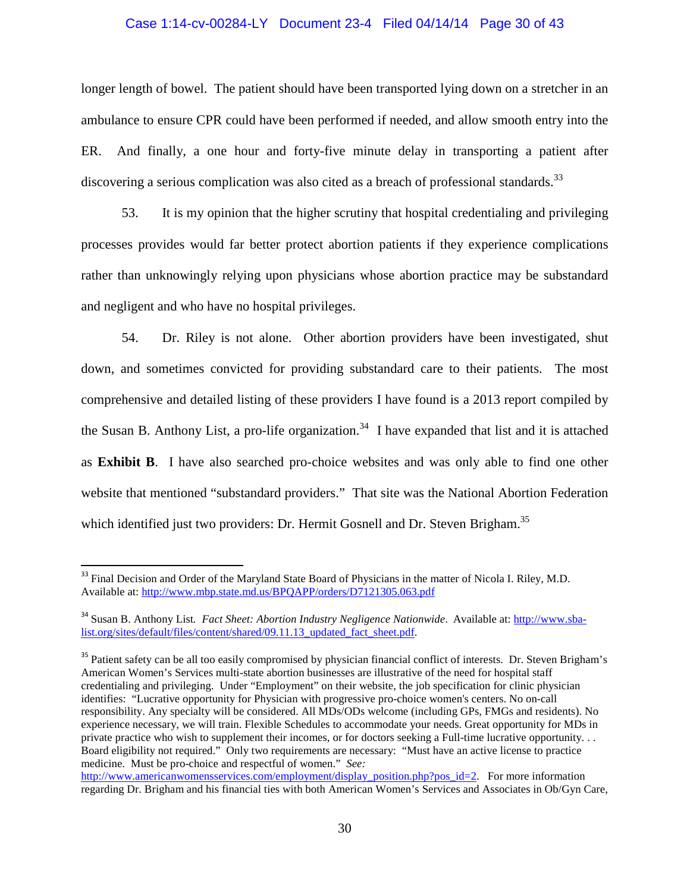#### Case 1:14-cv-00284-LY Document 23-4 Filed 04/14/14 Page 30 of 43

longer length of bowel. The patient should have been transported lying down on a stretcher in an ambulance to ensure CPR could have been performed if needed, and allow smooth entry into the ER. And finally, a one hour and forty-five minute delay in transporting a patient after discovering a serious complication was also cited as a breach of professional standards.<sup>33</sup>

53. It is my opinion that the higher scrutiny that hospital credentialing and privileging processes provides would far better protect abortion patients if they experience complications rather than unknowingly relying upon physicians whose abortion practice may be substandard and negligent and who have no hospital privileges.

54. Dr. Riley is not alone. Other abortion providers have been investigated, shut down, and sometimes convicted for providing substandard care to their patients. The most comprehensive and detailed listing of these providers I have found is a 2013 report compiled by the Susan B. Anthony List, a pro-life organization.<sup>34</sup> I have expanded that list and it is attached as **Exhibit B**. I have also searched pro-choice websites and was only able to find one other website that mentioned "substandard providers." That site was the National Abortion Federation which identified just two providers: Dr. Hermit Gosnell and Dr. Steven Brigham.<sup>35</sup>

<sup>&</sup>lt;sup>33</sup> Final Decision and Order of the Maryland State Board of Physicians in the matter of Nicola I. Riley, M.D. Available at: http://www.mbp.state.md.us/BPQAPP/orders/D7121305.063.pdf

<sup>&</sup>lt;sup>34</sup> Susan B. Anthony List. *Fact Sheet: Abortion Industry Negligence Nationwide*. Available at: http://www.sbalist.org/sites/default/files/content/shared/09.11.13\_updated\_fact\_sheet.pdf.

<sup>&</sup>lt;sup>35</sup> Patient safety can be all too easily compromised by physician financial conflict of interests. Dr. Steven Brigham's American Women's Services multi-state abortion businesses are illustrative of the need for hospital staff credentialing and privileging. Under "Employment" on their website, the job specification for clinic physician identifies: "Lucrative opportunity for Physician with progressive pro-choice women's centers. No on-call responsibility. Any specialty will be considered. All MDs/ODs welcome (including GPs, FMGs and residents). No experience necessary, we will train. Flexible Schedules to accommodate your needs. Great opportunity for MDs in private practice who wish to supplement their incomes, or for doctors seeking a Full-time lucrative opportunity. . . Board eligibility not required." Only two requirements are necessary: "Must have an active license to practice medicine. Must be pro-choice and respectful of women." *See:*

http://www.americanwomensservices.com/employment/display\_position.php?pos\_id=2. For more information regarding Dr. Brigham and his financial ties with both American Women's Services and Associates in Ob/Gyn Care,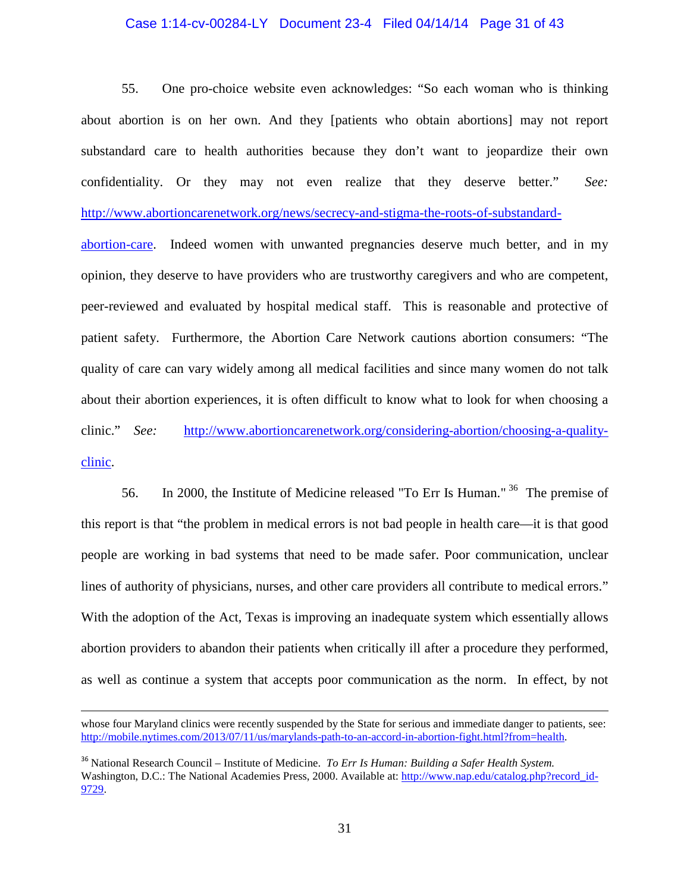#### Case 1:14-cv-00284-LY Document 23-4 Filed 04/14/14 Page 31 of 43

55. One pro-choice website even acknowledges: "So each woman who is thinking about abortion is on her own. And they [patients who obtain abortions] may not report substandard care to health authorities because they don't want to jeopardize their own confidentiality. Or they may not even realize that they deserve better." *See:*  http://www.abortioncarenetwork.org/news/secrecy-and-stigma-the-roots-of-substandard-

abortion-care. Indeed women with unwanted pregnancies deserve much better, and in my opinion, they deserve to have providers who are trustworthy caregivers and who are competent, peer-reviewed and evaluated by hospital medical staff. This is reasonable and protective of patient safety. Furthermore, the Abortion Care Network cautions abortion consumers: "The quality of care can vary widely among all medical facilities and since many women do not talk about their abortion experiences, it is often difficult to know what to look for when choosing a clinic." *See:* http://www.abortioncarenetwork.org/considering-abortion/choosing-a-qualityclinic.

56. In 2000, the Institute of Medicine released "To Err Is Human."<sup>36</sup> The premise of this report is that "the problem in medical errors is not bad people in health care—it is that good people are working in bad systems that need to be made safer. Poor communication, unclear lines of authority of physicians, nurses, and other care providers all contribute to medical errors." With the adoption of the Act, Texas is improving an inadequate system which essentially allows abortion providers to abandon their patients when critically ill after a procedure they performed, as well as continue a system that accepts poor communication as the norm. In effect, by not

whose four Maryland clinics were recently suspended by the State for serious and immediate danger to patients, see: http://mobile.nytimes.com/2013/07/11/us/marylands-path-to-an-accord-in-abortion-fight.html?from=health.

<sup>36</sup> National Research Council – Institute of Medicine. *To Err Is Human: Building a Safer Health System.*  Washington, D.C.: The National Academies Press, 2000. Available at: http://www.nap.edu/catalog.php?record\_id-9729.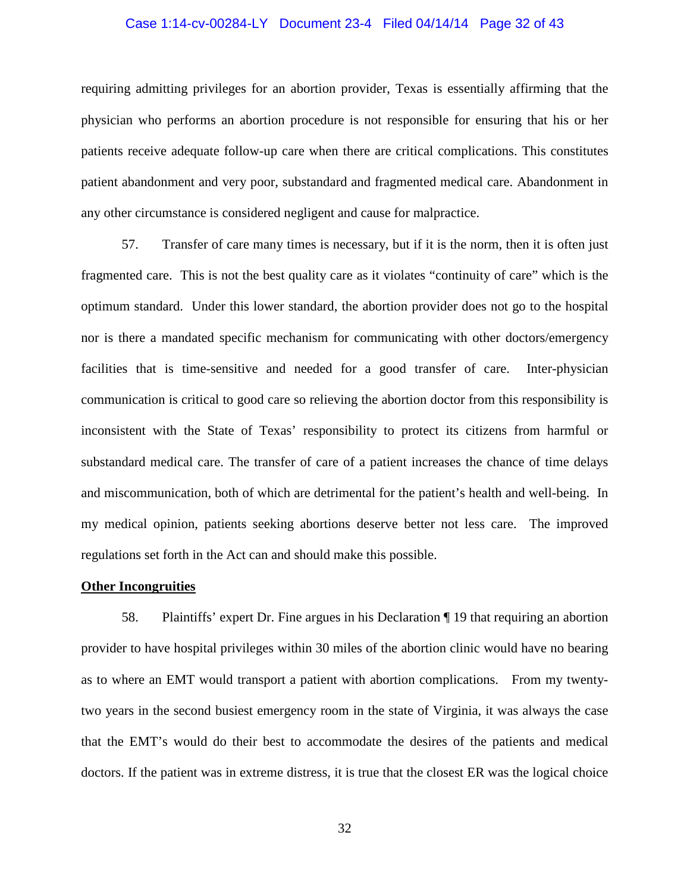#### Case 1:14-cv-00284-LY Document 23-4 Filed 04/14/14 Page 32 of 43

requiring admitting privileges for an abortion provider, Texas is essentially affirming that the physician who performs an abortion procedure is not responsible for ensuring that his or her patients receive adequate follow-up care when there are critical complications. This constitutes patient abandonment and very poor, substandard and fragmented medical care. Abandonment in any other circumstance is considered negligent and cause for malpractice.

57. Transfer of care many times is necessary, but if it is the norm, then it is often just fragmented care. This is not the best quality care as it violates "continuity of care" which is the optimum standard. Under this lower standard, the abortion provider does not go to the hospital nor is there a mandated specific mechanism for communicating with other doctors/emergency facilities that is time-sensitive and needed for a good transfer of care. Inter-physician communication is critical to good care so relieving the abortion doctor from this responsibility is inconsistent with the State of Texas' responsibility to protect its citizens from harmful or substandard medical care. The transfer of care of a patient increases the chance of time delays and miscommunication, both of which are detrimental for the patient's health and well-being. In my medical opinion, patients seeking abortions deserve better not less care. The improved regulations set forth in the Act can and should make this possible.

#### **Other Incongruities**

58. Plaintiffs' expert Dr. Fine argues in his Declaration ¶ 19 that requiring an abortion provider to have hospital privileges within 30 miles of the abortion clinic would have no bearing as to where an EMT would transport a patient with abortion complications. From my twentytwo years in the second busiest emergency room in the state of Virginia, it was always the case that the EMT's would do their best to accommodate the desires of the patients and medical doctors. If the patient was in extreme distress, it is true that the closest ER was the logical choice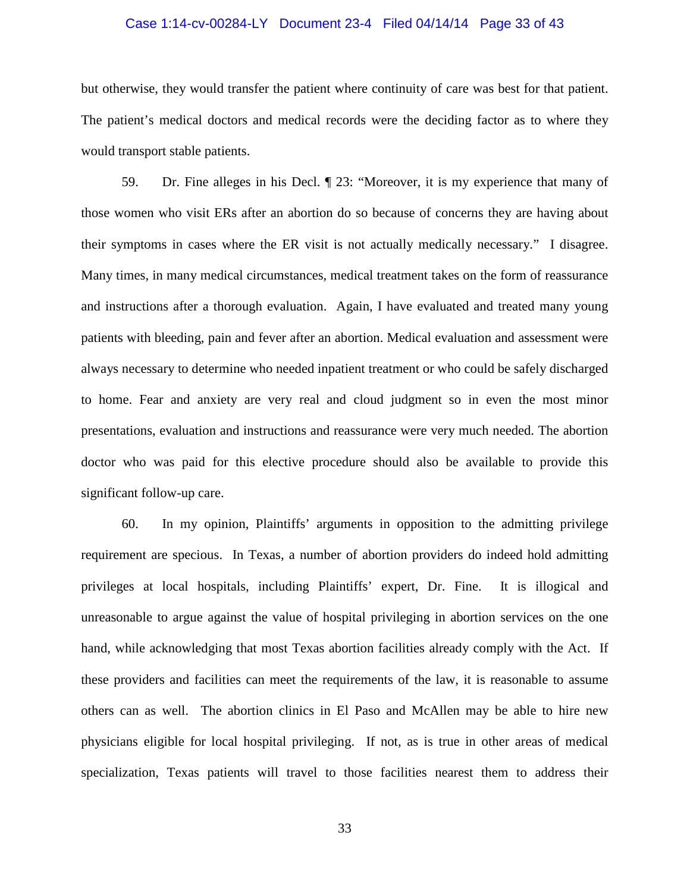#### Case 1:14-cv-00284-LY Document 23-4 Filed 04/14/14 Page 33 of 43

but otherwise, they would transfer the patient where continuity of care was best for that patient. The patient's medical doctors and medical records were the deciding factor as to where they would transport stable patients.

59. Dr. Fine alleges in his Decl. ¶ 23: "Moreover, it is my experience that many of those women who visit ERs after an abortion do so because of concerns they are having about their symptoms in cases where the ER visit is not actually medically necessary." I disagree. Many times, in many medical circumstances, medical treatment takes on the form of reassurance and instructions after a thorough evaluation. Again, I have evaluated and treated many young patients with bleeding, pain and fever after an abortion. Medical evaluation and assessment were always necessary to determine who needed inpatient treatment or who could be safely discharged to home. Fear and anxiety are very real and cloud judgment so in even the most minor presentations, evaluation and instructions and reassurance were very much needed. The abortion doctor who was paid for this elective procedure should also be available to provide this significant follow-up care.

60. In my opinion, Plaintiffs' arguments in opposition to the admitting privilege requirement are specious. In Texas, a number of abortion providers do indeed hold admitting privileges at local hospitals, including Plaintiffs' expert, Dr. Fine. It is illogical and unreasonable to argue against the value of hospital privileging in abortion services on the one hand, while acknowledging that most Texas abortion facilities already comply with the Act. If these providers and facilities can meet the requirements of the law, it is reasonable to assume others can as well. The abortion clinics in El Paso and McAllen may be able to hire new physicians eligible for local hospital privileging. If not, as is true in other areas of medical specialization, Texas patients will travel to those facilities nearest them to address their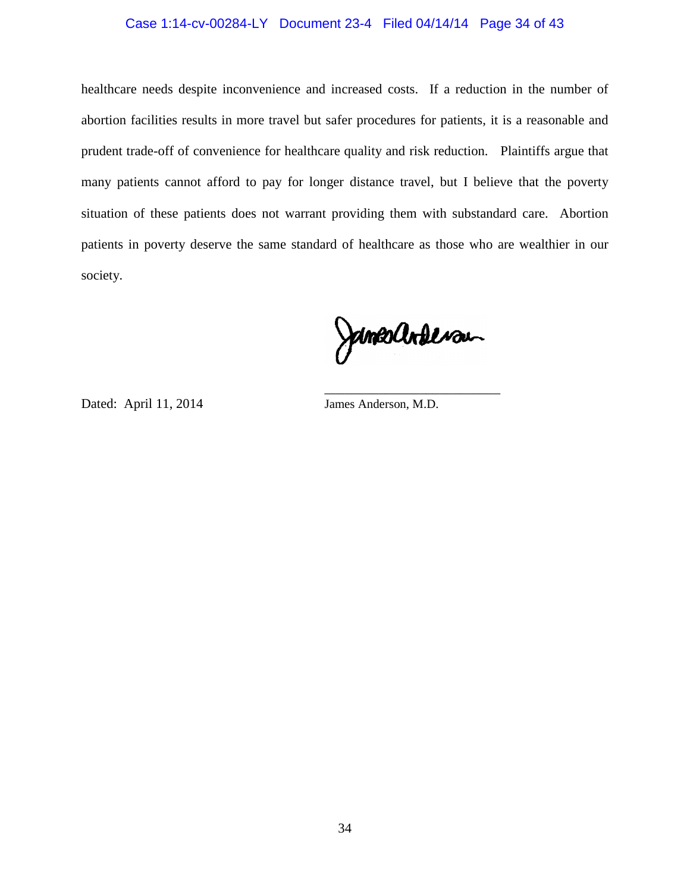## Case 1:14-cv-00284-LY Document 23-4 Filed 04/14/14 Page 34 of 43

healthcare needs despite inconvenience and increased costs. If a reduction in the number of abortion facilities results in more travel but safer procedures for patients, it is a reasonable and prudent trade-off of convenience for healthcare quality and risk reduction. Plaintiffs argue that many patients cannot afford to pay for longer distance travel, but I believe that the poverty situation of these patients does not warrant providing them with substandard care. Abortion patients in poverty deserve the same standard of healthcare as those who are wealthier in our society.

Jansachteran

Dated: April 11, 2014 James Anderson, M.D.

 $\frac{1}{\sqrt{2\pi}}$  , which is a set of the set of the set of the set of the set of the set of the set of the set of the set of the set of the set of the set of the set of the set of the set of the set of the set of the set of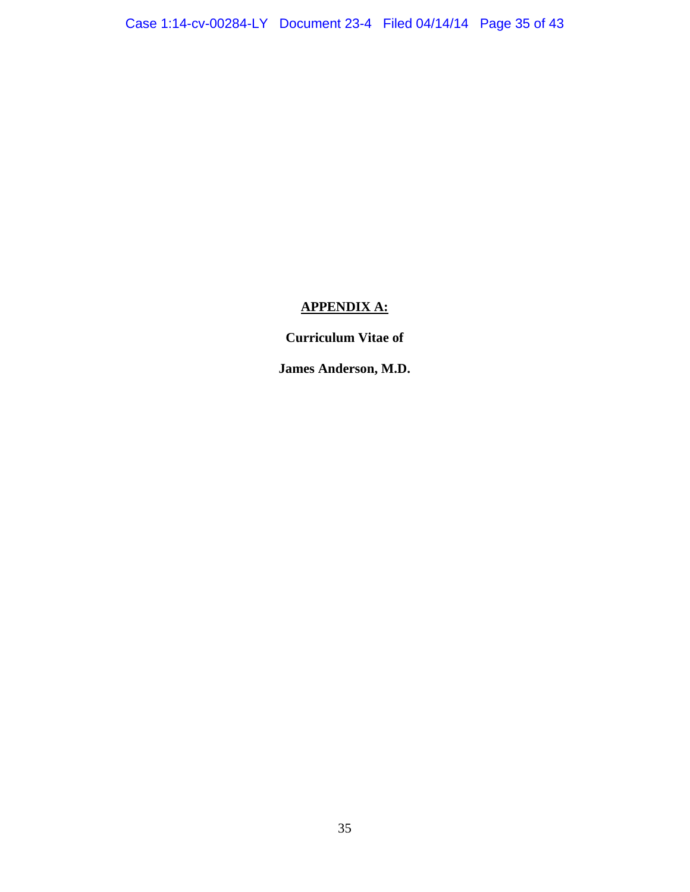## **APPENDIX A:**

**Curriculum Vitae of** 

**James Anderson, M.D.**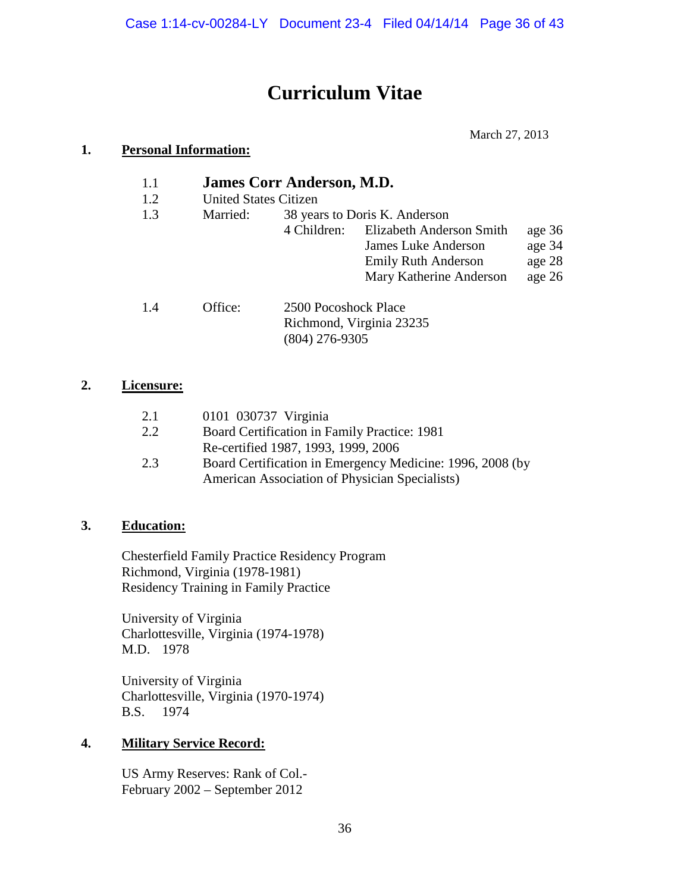# **Curriculum Vitae**

March 27, 2013

## **1. Personal Information:**

- 1.1 **James Corr Anderson, M.D.**<br>1.2 United States Citizen
- United States Citizen

| 1.3 | Married: |                      | 38 years to Doris K. Anderson |        |
|-----|----------|----------------------|-------------------------------|--------|
|     |          | 4 Children:          | Elizabeth Anderson Smith      | age 36 |
|     |          |                      | <b>James Luke Anderson</b>    | age 34 |
|     |          |                      | <b>Emily Ruth Anderson</b>    | age 28 |
|     |          |                      | Mary Katherine Anderson       | age 26 |
| 14  | Office:  | 2500 Pocoshock Place |                               |        |

| 1.4 | Office: | 2500 Pocoshock Place     |
|-----|---------|--------------------------|
|     |         | Richmond, Virginia 23235 |
|     |         | $(804)$ 276-9305         |

## **2. Licensure:**

| 2.1 | 0101 030737 Virginia                                      |
|-----|-----------------------------------------------------------|
| 2.2 | Board Certification in Family Practice: 1981              |
|     | Re-certified 1987, 1993, 1999, 2006                       |
| 2.3 | Board Certification in Emergency Medicine: 1996, 2008 (by |
|     | American Association of Physician Specialists)            |

## **3. Education:**

Chesterfield Family Practice Residency Program Richmond, Virginia (1978-1981) Residency Training in Family Practice

 University of Virginia Charlottesville, Virginia (1974-1978) M.D. 1978

 University of Virginia Charlottesville, Virginia (1970-1974) B.S. 1974

## **4. Military Service Record:**

 US Army Reserves: Rank of Col.- February 2002 – September 2012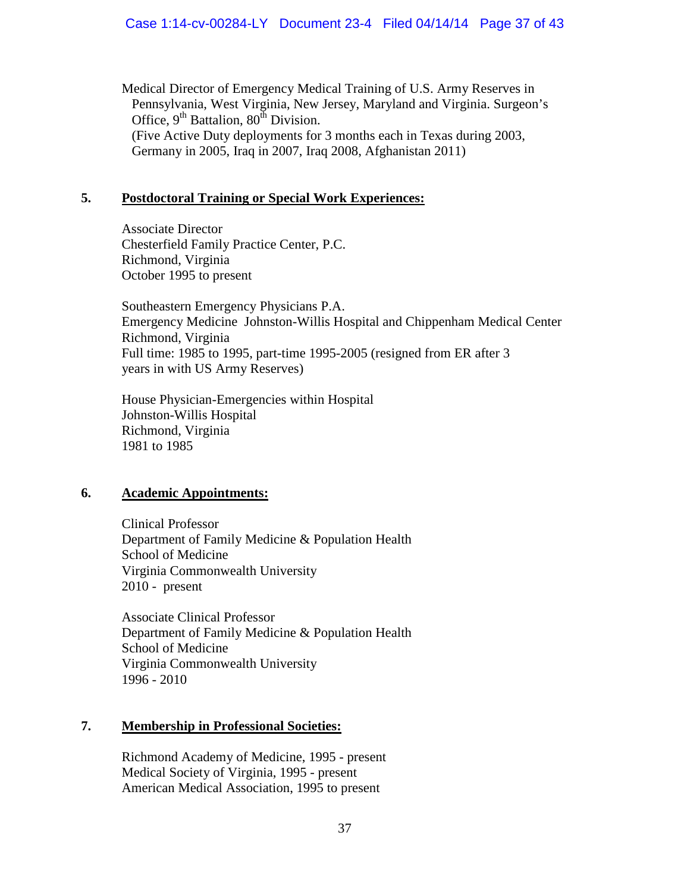Medical Director of Emergency Medical Training of U.S. Army Reserves in Pennsylvania, West Virginia, New Jersey, Maryland and Virginia. Surgeon's Office,  $9<sup>th</sup>$  Battalion,  $80<sup>th</sup>$  Division. (Five Active Duty deployments for 3 months each in Texas during 2003, Germany in 2005, Iraq in 2007, Iraq 2008, Afghanistan 2011)

## **5. Postdoctoral Training or Special Work Experiences:**

 Associate Director Chesterfield Family Practice Center, P.C. Richmond, Virginia October 1995 to present

 Southeastern Emergency Physicians P.A. Emergency Medicine Johnston-Willis Hospital and Chippenham Medical Center Richmond, Virginia Full time: 1985 to 1995, part-time 1995-2005 (resigned from ER after 3 years in with US Army Reserves)

 House Physician-Emergencies within Hospital Johnston-Willis Hospital Richmond, Virginia 1981 to 1985

## **6. Academic Appointments:**

 Clinical Professor Department of Family Medicine & Population Health School of Medicine Virginia Commonwealth University 2010 - present

Associate Clinical Professor Department of Family Medicine & Population Health School of Medicine Virginia Commonwealth University 1996 - 2010

## **7. Membership in Professional Societies:**

Richmond Academy of Medicine, 1995 - present Medical Society of Virginia, 1995 - present American Medical Association, 1995 to present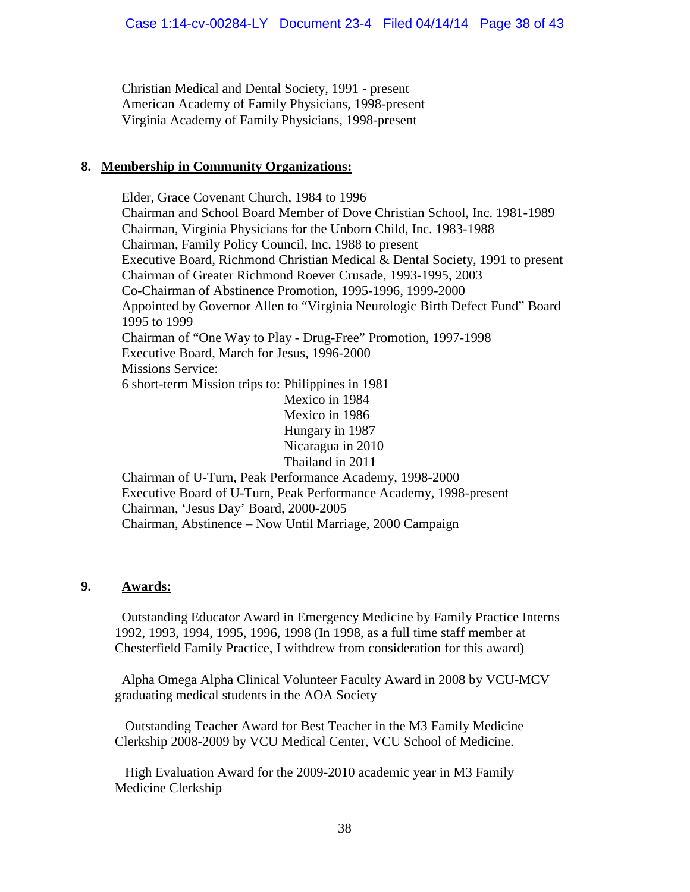Christian Medical and Dental Society, 1991 - present American Academy of Family Physicians, 1998-present Virginia Academy of Family Physicians, 1998-present

## **8. Membership in Community Organizations:**

Elder, Grace Covenant Church, 1984 to 1996 Chairman and School Board Member of Dove Christian School, Inc. 1981-1989 Chairman, Virginia Physicians for the Unborn Child, Inc. 1983-1988 Chairman, Family Policy Council, Inc. 1988 to present Executive Board, Richmond Christian Medical & Dental Society, 1991 to present Chairman of Greater Richmond Roever Crusade, 1993-1995, 2003 Co-Chairman of Abstinence Promotion, 1995-1996, 1999-2000 Appointed by Governor Allen to "Virginia Neurologic Birth Defect Fund" Board 1995 to 1999 Chairman of "One Way to Play - Drug-Free" Promotion, 1997-1998 Executive Board, March for Jesus, 1996-2000 Missions Service: 6 short-term Mission trips to: Philippines in 1981 Mexico in 1984 Mexico in 1986 Hungary in 1987 Nicaragua in 2010 Thailand in 2011 Chairman of U-Turn, Peak Performance Academy, 1998-2000 Executive Board of U-Turn, Peak Performance Academy, 1998-present Chairman, 'Jesus Day' Board, 2000-2005

## Chairman, Abstinence – Now Until Marriage, 2000 Campaign

## **9. Awards:**

Outstanding Educator Award in Emergency Medicine by Family Practice Interns 1992, 1993, 1994, 1995, 1996, 1998 (In 1998, as a full time staff member at Chesterfield Family Practice, I withdrew from consideration for this award)

 Alpha Omega Alpha Clinical Volunteer Faculty Award in 2008 by VCU-MCV graduating medical students in the AOA Society

 Outstanding Teacher Award for Best Teacher in the M3 Family Medicine Clerkship 2008-2009 by VCU Medical Center, VCU School of Medicine.

 High Evaluation Award for the 2009-2010 academic year in M3 Family Medicine Clerkship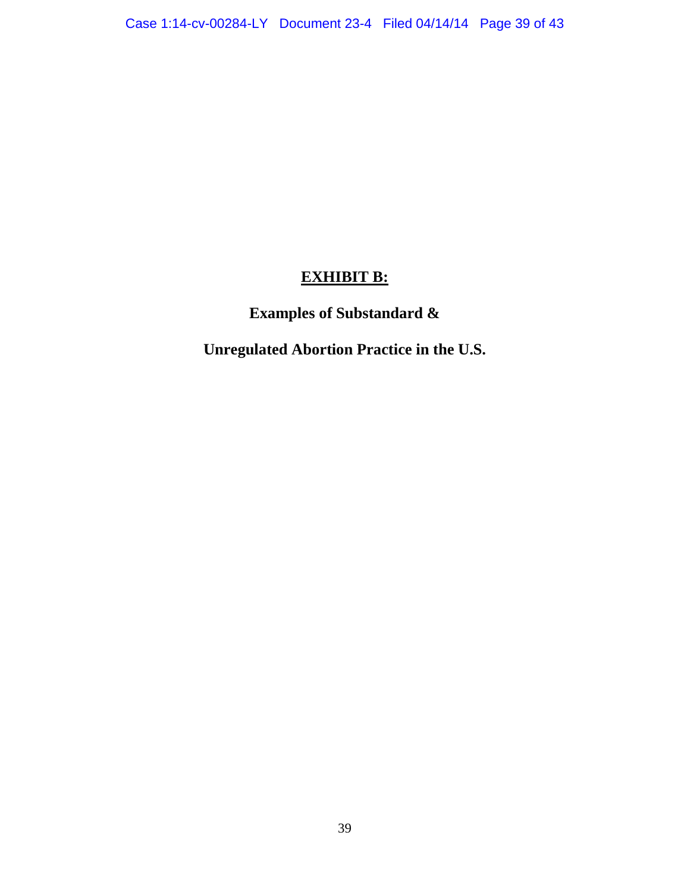## **EXHIBIT B:**

# **Examples of Substandard &**

**Unregulated Abortion Practice in the U.S.**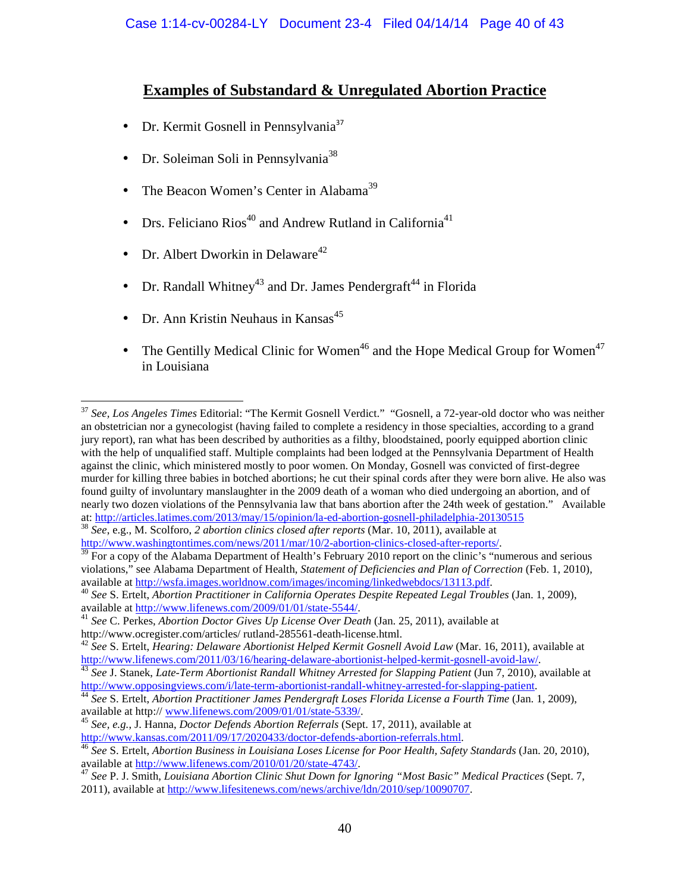## **Examples of Substandard & Unregulated Abortion Practice**

- Dr. Kermit Gosnell in Pennsylvania<sup>37</sup>
- Dr. Soleiman Soli in Pennsylvania<sup>38</sup>
- The Beacon Women's Center in Alabama<sup>39</sup>
- Drs. Feliciano Rios<sup>40</sup> and Andrew Rutland in California<sup>41</sup>
- Dr. Albert Dworkin in Delaware<sup>42</sup>
- Dr. Randall Whitney<sup>43</sup> and Dr. James Pendergraft<sup>44</sup> in Florida
- Dr. Ann Kristin Neuhaus in Kansas $45$

 $\overline{a}$ 

• The Gentilly Medical Clinic for Women<sup>46</sup> and the Hope Medical Group for Women<sup>47</sup> in Louisiana

<sup>37</sup> *See, Los Angeles Times* Editorial: "The Kermit Gosnell Verdict." "Gosnell, a 72-year-old doctor who was neither an obstetrician nor a gynecologist (having failed to complete a residency in those specialties, according to a grand jury report), ran what has been described by authorities as a filthy, bloodstained, poorly equipped abortion clinic with the help of unqualified staff. Multiple complaints had been lodged at the Pennsylvania Department of Health against the clinic, which ministered mostly to poor women. On Monday, Gosnell was convicted of first-degree murder for killing three babies in botched abortions; he cut their spinal cords after they were born alive. He also was found guilty of involuntary manslaughter in the 2009 death of a woman who died undergoing an abortion, and of nearly two dozen violations of the Pennsylvania law that bans abortion after the 24th week of gestation." Available at: http://articles.latimes.com/2013/may/15/opinion/la-ed-abortion-gosnell-philadelphia-20130515

<sup>38</sup> *See*, e.g., M. Scolforo, *2 abortion clinics closed after reports* (Mar. 10, 2011), available at http://www.washingtontimes.com/news/2011/mar/10/2-abortion-clinics-closed-after-reports/.

 $39$  For a copy of the Alabama Department of Health's February 2010 report on the clinic's "numerous and serious violations," see Alabama Department of Health, *Statement of Deficiencies and Plan of Correction* (Feb. 1, 2010), available at http://wsfa.images.worldnow.com/images/incoming/linkedwebdocs/13113.pdf.

<sup>40</sup> *See* S. Ertelt, *Abortion Practitioner in California Operates Despite Repeated Legal Troubles* (Jan. 1, 2009), available at http://www.lifenews.com/2009/01/01/state-5544/.

<sup>&</sup>lt;sup>41</sup> See C. Perkes, *Abortion Doctor Gives Up License Over Death* (Jan. 25, 2011), available at http://www.ocregister.com/articles/ rutland-285561-death-license.html.

<sup>42</sup> *See* S. Ertelt, *Hearing: Delaware Abortionist Helped Kermit Gosnell Avoid Law* (Mar. 16, 2011), available at http://www.lifenews.com/2011/03/16/hearing-delaware-abortionist-helped-kermit-gosnell-avoid-law/.

<sup>&</sup>lt;sup>43</sup> *See J. Stanek, Late-Term Abortionist Randall Whitney Arrested for Slapping Patient (Jun 7, 2010), available at* http://www.opposingviews.com/i/late-term-abortionist-randall-whitney-arrested-for-slapping-patient.

<sup>44</sup> *See* S. Ertelt, *Abortion Practitioner James Pendergraft Loses Florida License a Fourth Time* (Jan. 1, 2009), available at http:// www.lifenews.com/2009/01/01/state-5339/.

<sup>45</sup> *See, e.g.*, J. Hanna, *Doctor Defends Abortion Referrals* (Sept. 17, 2011), available at http://www.kansas.com/2011/09/17/2020433/doctor-defends-abortion-referrals.html.

<sup>46</sup> *See* S. Ertelt, *Abortion Business in Louisiana Loses License for Poor Health, Safety Standards* (Jan. 20, 2010), available at http://www.lifenews.com/2010/01/20/state-4743/.

<sup>47</sup> *See* P. J. Smith, *Louisiana Abortion Clinic Shut Down for Ignoring "Most Basic" Medical Practices* (Sept. 7, 2011), available at http://www.lifesitenews.com/news/archive/ldn/2010/sep/10090707.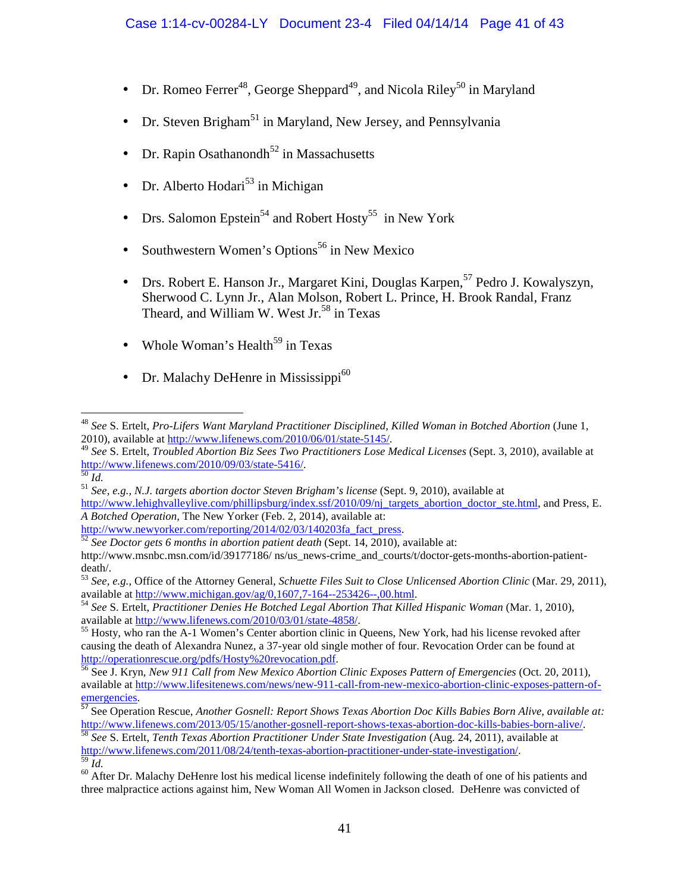- Dr. Romeo Ferrer<sup>48</sup>, George Sheppard<sup>49</sup>, and Nicola Riley<sup>50</sup> in Maryland
- Dr. Steven Brigham<sup>51</sup> in Maryland, New Jersey, and Pennsylvania
- Dr. Rapin Osathanondh<sup>52</sup> in Massachusetts
- Dr. Alberto Hodari<sup>53</sup> in Michigan
- Drs. Salomon Epstein<sup>54</sup> and Robert Hosty<sup>55</sup> in New York
- Southwestern Women's Options<sup>56</sup> in New Mexico
- Drs. Robert E. Hanson Jr., Margaret Kini, Douglas Karpen,<sup>57</sup> Pedro J. Kowalyszyn, Sherwood C. Lynn Jr., Alan Molson, Robert L. Prince, H. Brook Randal, Franz Theard, and William W. West Jr.<sup>58</sup> in Texas
- Whole Woman's Health<sup>59</sup> in Texas
- Dr. Malachy DeHenre in Mississippi $^{60}$

 $\overline{a}$ 

http://www.newyorker.com/reporting/2014/02/03/140203fa\_fact\_press.

<sup>48</sup> *See* S. Ertelt, *Pro-Lifers Want Maryland Practitioner Disciplined, Killed Woman in Botched Abortion* (June 1, 2010), available at http://www.lifenews.com/2010/06/01/state-5145/.

<sup>49</sup> *See* S. Ertelt, *Troubled Abortion Biz Sees Two Practitioners Lose Medical Licenses* (Sept. 3, 2010), available at http://www.lifenews.com/2010/09/03/state-5416/.

<sup>50</sup> *Id.*

<sup>51</sup> *See, e.g., N.J. targets abortion doctor Steven Brigham's license* (Sept. 9, 2010), available at

http://www.lehighvalleylive.com/phillipsburg/index.ssf/2010/09/nj\_targets\_abortion\_doctor\_ste.html, and Press, E. *A Botched Operation,* The New Yorker (Feb. 2, 2014), available at:

<sup>52</sup> *See Doctor gets 6 months in abortion patient death* (Sept. 14, 2010), available at: http://www.msnbc.msn.com/id/39177186/ ns/us\_news-crime\_and\_courts/t/doctor-gets-months-abortion-patientdeath/.

<sup>53</sup> *See, e.g.*, Office of the Attorney General, *Schuette Files Suit to Close Unlicensed Abortion Clinic* (Mar. 29, 2011), available at http://www.michigan.gov/ag/0,1607,7-164--253426--,00.html.

<sup>&</sup>lt;sup>54</sup> See S. Ertelt, *Practitioner Denies He Botched Legal Abortion That Killed Hispanic Woman* (Mar. 1, 2010), available at http://www.lifenews.com/2010/03/01/state-4858/.

<sup>&</sup>lt;sup>55</sup> Hosty, who ran the A-1 Women's Center abortion clinic in Queens, New York, had his license revoked after causing the death of Alexandra Nunez, a 37-year old single mother of four. Revocation Order can be found at http://operationrescue.org/pdfs/Hosty%20revocation.pdf.

<sup>56</sup> See J. Kryn, *New 911 Call from New Mexico Abortion Clinic Exposes Pattern of Emergencies* (Oct. 20, 2011), available at http://www.lifesitenews.com/news/new-911-call-from-new-mexico-abortion-clinic-exposes-pattern-ofemergencies.

<sup>57</sup> See Operation Rescue, *Another Gosnell: Report Shows Texas Abortion Doc Kills Babies Born Alive, available at:* http://www.lifenews.com/2013/05/15/another-gosnell-report-shows-texas-abortion-doc-kills-babies-born-alive/.

<sup>58</sup> *See* S. Ertelt, *Tenth Texas Abortion Practitioner Under State Investigation* (Aug. 24, 2011), available at http://www.lifenews.com/2011/08/24/tenth-texas-abortion-practitioner-under-state-investigation/. <sup>59</sup> *Id.*

<sup>&</sup>lt;sup>60</sup> After Dr. Malachy DeHenre lost his medical license indefinitely following the death of one of his patients and three malpractice actions against him, New Woman All Women in Jackson closed. DeHenre was convicted of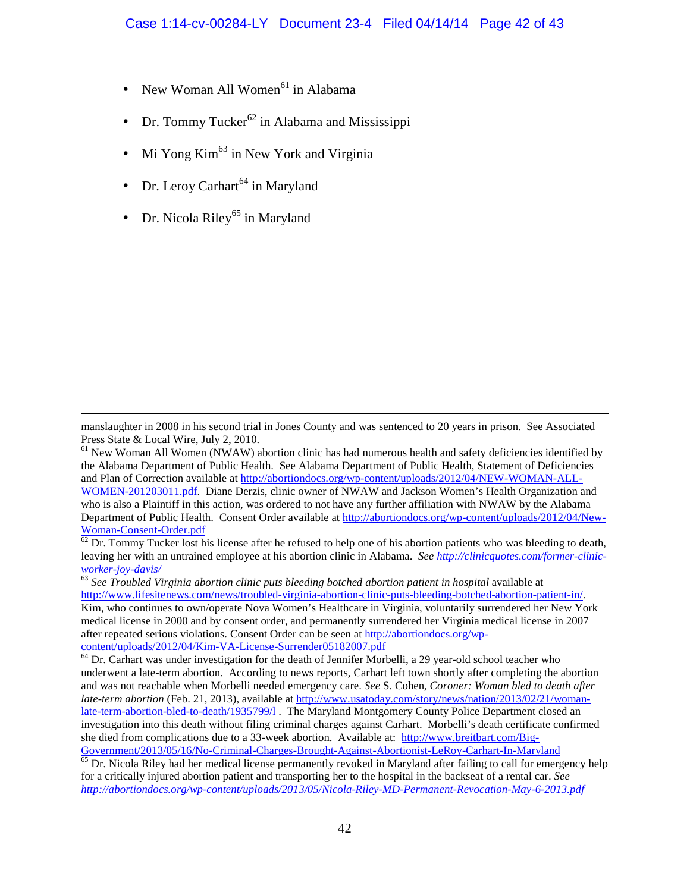- New Woman All Women<sup>61</sup> in Alabama
- $Dr.$  Tommy Tucker<sup>62</sup> in Alabama and Mississippi
- Mi Yong Kim<sup>63</sup> in New York and Virginia
- Dr. Leroy Carhart<sup>64</sup> in Maryland
- Dr. Nicola Riley<sup>65</sup> in Maryland

 $\overline{a}$ 

manslaughter in 2008 in his second trial in Jones County and was sentenced to 20 years in prison. See Associated Press State & Local Wire, July 2, 2010.

<sup>61</sup> New Woman All Women (NWAW) abortion clinic has had numerous health and safety deficiencies identified by the Alabama Department of Public Health. See Alabama Department of Public Health, Statement of Deficiencies and Plan of Correction available at http://abortiondocs.org/wp-content/uploads/2012/04/NEW-WOMAN-ALL-WOMEN-201203011.pdf. Diane Derzis, clinic owner of NWAW and Jackson Women's Health Organization and who is also a Plaintiff in this action, was ordered to not have any further affiliation with NWAW by the Alabama Department of Public Health. Consent Order available at http://abortiondocs.org/wp-content/uploads/2012/04/New-Woman-Consent-Order.pdf

 $62$  Dr. Tommy Tucker lost his license after he refused to help one of his abortion patients who was bleeding to death, leaving her with an untrained employee at his abortion clinic in Alabama. *See http://clinicquotes.com/former-clinicworker-joy-davis/*

<sup>63</sup> See Troubled Virginia abortion clinic puts bleeding botched abortion patient in hospital available at http://www.lifesitenews.com/news/troubled-virginia-abortion-clinic-puts-bleeding-botched-abortion-patient-in/. Kim, who continues to own/operate Nova Women's Healthcare in Virginia, voluntarily surrendered her New York medical license in 2000 and by consent order, and permanently surrendered her Virginia medical license in 2007 after repeated serious violations. Consent Order can be seen at http://abortiondocs.org/wpcontent/uploads/2012/04/Kim-VA-License-Surrender05182007.pdf

<sup>64</sup> Dr. Carhart was under investigation for the death of Jennifer Morbelli, a 29 year-old school teacher who underwent a late-term abortion. According to news reports, Carhart left town shortly after completing the abortion and was not reachable when Morbelli needed emergency care. *See* S. Cohen, *Coroner: Woman bled to death after late-term abortion* (Feb. 21, 2013), available at http://www.usatoday.com/story/news/nation/2013/02/21/womanlate-term-abortion-bled-to-death/1935799/l . The Maryland Montgomery County Police Department closed an investigation into this death without filing criminal charges against Carhart. Morbelli's death certificate confirmed she died from complications due to a 33-week abortion. Available at: http://www.breitbart.com/Big-Government/2013/05/16/No-Criminal-Charges-Brought-Against-Abortionist-LeRoy-Carhart-In-Maryland

<sup>&</sup>lt;sup>65</sup> Dr. Nicola Riley had her medical license permanently revoked in Maryland after failing to call for emergency help for a critically injured abortion patient and transporting her to the hospital in the backseat of a rental car. *See http://abortiondocs.org/wp-content/uploads/2013/05/Nicola-Riley-MD-Permanent-Revocation-May-6-2013.pdf*